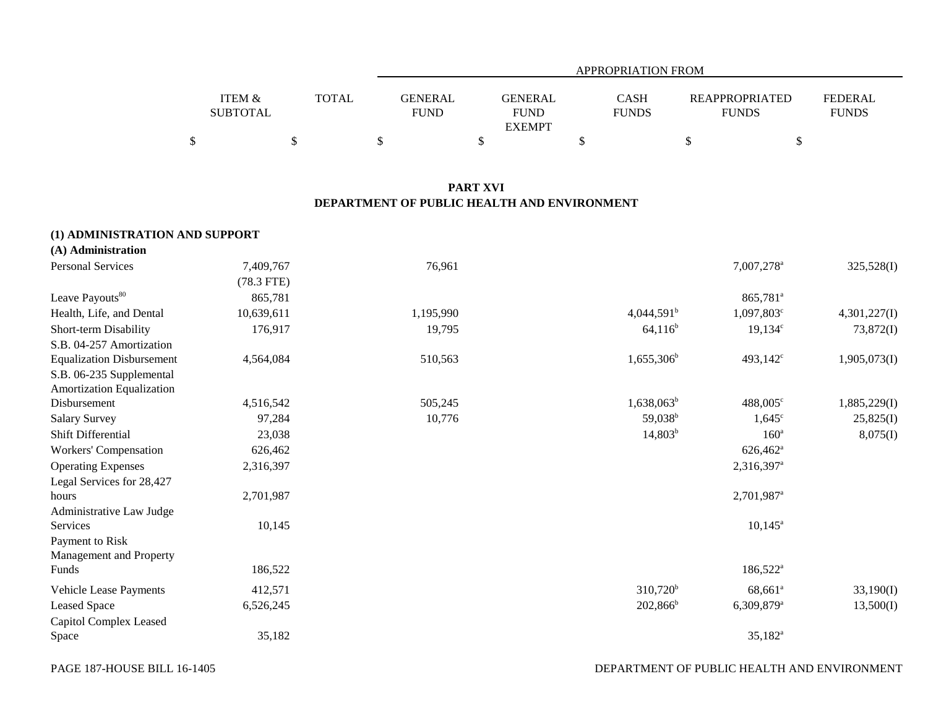|                                      |              | APPROPRIATION FROM            |                               |                             |                                       |                                |  |  |  |  |
|--------------------------------------|--------------|-------------------------------|-------------------------------|-----------------------------|---------------------------------------|--------------------------------|--|--|--|--|
| <b>ITEM &amp;</b><br><b>SUBTOTAL</b> | <b>TOTAL</b> | <b>GENERAL</b><br><b>FUND</b> | <b>GENERAL</b><br><b>FUND</b> | <b>CASH</b><br><b>FUNDS</b> | <b>REAPPROPRIATED</b><br><b>FUNDS</b> | <b>FEDERAL</b><br><b>FUNDS</b> |  |  |  |  |
|                                      |              |                               | <b>EXEMPT</b>                 |                             |                                       |                                |  |  |  |  |
|                                      |              |                               |                               |                             |                                       |                                |  |  |  |  |

# **PART XVI DEPARTMENT OF PUBLIC HEALTH AND ENVIRONMENT**

| (1) ADMINISTRATION AND SUPPORT   |              |           |                     |                          |              |
|----------------------------------|--------------|-----------|---------------------|--------------------------|--------------|
| (A) Administration               |              |           |                     |                          |              |
| <b>Personal Services</b>         | 7,409,767    | 76,961    |                     | 7,007,278 <sup>a</sup>   | 325,528(I)   |
|                                  | $(78.3$ FTE) |           |                     |                          |              |
| Leave Payouts <sup>80</sup>      | 865,781      |           |                     | 865,781 <sup>a</sup>     |              |
| Health, Life, and Dental         | 10,639,611   | 1,195,990 | $4,044,591^{\rm b}$ | 1,097,803°               | 4,301,227(I) |
| Short-term Disability            | 176,917      | 19,795    | $64,116^b$          | $19,134^c$               | 73,872(I)    |
| S.B. 04-257 Amortization         |              |           |                     |                          |              |
| <b>Equalization Disbursement</b> | 4,564,084    | 510,563   | $1,655,306^b$       | 493,142 <sup>c</sup>     | 1,905,073(I) |
| S.B. 06-235 Supplemental         |              |           |                     |                          |              |
| Amortization Equalization        |              |           |                     |                          |              |
| Disbursement                     | 4,516,542    | 505,245   | $1,638,063^b$       | 488,005 <sup>c</sup>     | 1,885,229(I) |
| <b>Salary Survey</b>             | 97,284       | 10,776    | 59,038 <sup>b</sup> | $1,645^{\circ}$          | 25,825(I)    |
| Shift Differential               | 23,038       |           | $14,803^b$          | 160 <sup>a</sup>         | 8,075(I)     |
| Workers' Compensation            | 626,462      |           |                     | 626,462 <sup>a</sup>     |              |
| <b>Operating Expenses</b>        | 2,316,397    |           |                     | $2,316,397$ <sup>a</sup> |              |
| Legal Services for 28,427        |              |           |                     |                          |              |
| hours                            | 2,701,987    |           |                     | 2,701,987 <sup>a</sup>   |              |
| Administrative Law Judge         |              |           |                     |                          |              |
| Services                         | 10,145       |           |                     | $10,145^{\circ}$         |              |
| Payment to Risk                  |              |           |                     |                          |              |
| Management and Property          |              |           |                     |                          |              |
| Funds                            | 186,522      |           |                     | 186,522 <sup>a</sup>     |              |
| <b>Vehicle Lease Payments</b>    | 412,571      |           | $310,720^b$         | $68,661^a$               | 33,190(I)    |
| <b>Leased Space</b>              | 6,526,245    |           | $202,866^b$         | 6,309,879 <sup>a</sup>   | 13,500(I)    |
| Capitol Complex Leased           |              |           |                     |                          |              |
| Space                            | 35,182       |           |                     | $35,182^a$               |              |

PAGE 187-HOUSE BILL 16-1405

DEPARTMENT OF PUBLIC HEALTH AND ENVIRONMENT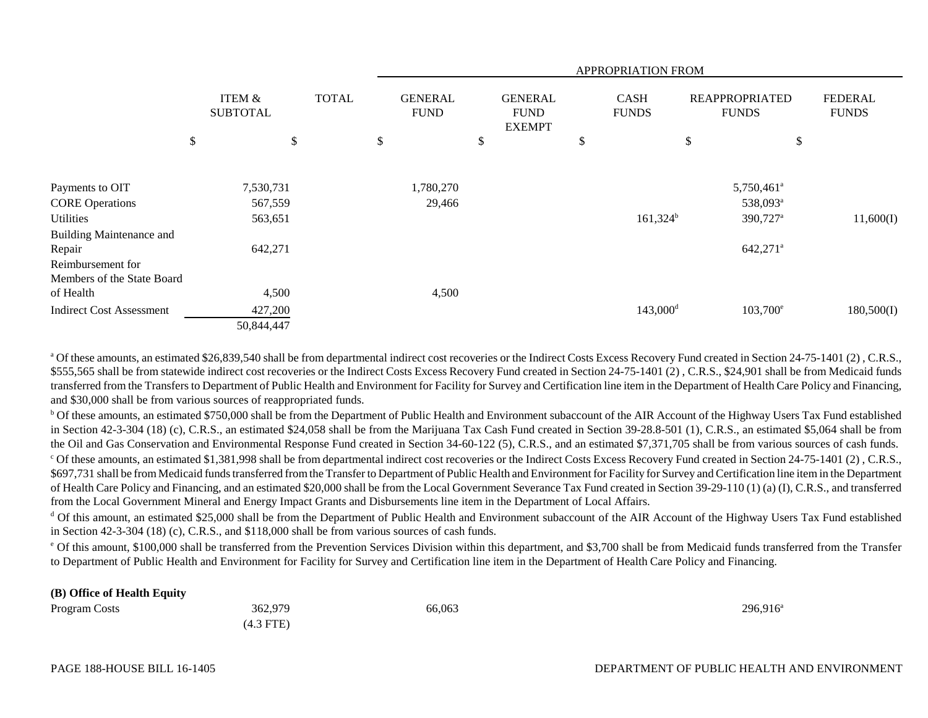|                                 |                                      |              |                               |                                                | APPROPRIATION FROM          |                                       |                                |
|---------------------------------|--------------------------------------|--------------|-------------------------------|------------------------------------------------|-----------------------------|---------------------------------------|--------------------------------|
|                                 | <b>ITEM &amp;</b><br><b>SUBTOTAL</b> | <b>TOTAL</b> | <b>GENERAL</b><br><b>FUND</b> | <b>GENERAL</b><br><b>FUND</b><br><b>EXEMPT</b> | <b>CASH</b><br><b>FUNDS</b> | <b>REAPPROPRIATED</b><br><b>FUNDS</b> | <b>FEDERAL</b><br><b>FUNDS</b> |
|                                 | \$<br>\$                             |              | \$                            | \$                                             | \$                          | \$<br>\$                              |                                |
|                                 |                                      |              |                               |                                                |                             |                                       |                                |
| Payments to OIT                 | 7,530,731                            |              | 1,780,270                     |                                                |                             | $5,750,461$ <sup>a</sup>              |                                |
| <b>CORE Operations</b>          | 567,559                              |              | 29,466                        |                                                |                             | 538,093 <sup>a</sup>                  |                                |
| Utilities                       | 563,651                              |              |                               |                                                | $161,324^b$                 | 390,727 <sup>a</sup>                  | 11,600(I)                      |
| <b>Building Maintenance and</b> |                                      |              |                               |                                                |                             |                                       |                                |
| Repair                          | 642,271                              |              |                               |                                                |                             | $642,271^a$                           |                                |
| Reimbursement for               |                                      |              |                               |                                                |                             |                                       |                                |
| Members of the State Board      |                                      |              |                               |                                                |                             |                                       |                                |
| of Health                       | 4,500                                |              | 4,500                         |                                                |                             |                                       |                                |
| <b>Indirect Cost Assessment</b> | 427,200                              |              |                               |                                                | $143,000$ <sup>d</sup>      | $103,700^{\circ}$                     | 180,500(I)                     |
|                                 | 50,844,447                           |              |                               |                                                |                             |                                       |                                |

<sup>a</sup> Of these amounts, an estimated \$26,839,540 shall be from departmental indirect cost recoveries or the Indirect Costs Excess Recovery Fund created in Section 24-75-1401 (2), C.R.S., \$555,565 shall be from statewide indirect cost recoveries or the Indirect Costs Excess Recovery Fund created in Section 24-75-1401 (2), C.R.S., \$24,901 shall be from Medicaid funds transferred from the Transfers to Department of Public Health and Environment for Facility for Survey and Certification line item in the Department of Health Care Policy and Financing, and \$30,000 shall be from various sources of reappropriated funds.

<sup>b</sup> Of these amounts, an estimated \$750,000 shall be from the Department of Public Health and Environment subaccount of the AIR Account of the Highway Users Tax Fund established in Section 42-3-304 (18) (c), C.R.S., an estimated \$24,058 shall be from the Marijuana Tax Cash Fund created in Section 39-28.8-501 (1), C.R.S., an estimated \$5,064 shall be from the Oil and Gas Conservation and Environmental Response Fund created in Section 34-60-122 (5), C.R.S., and an estimated \$7,371,705 shall be from various sources of cash funds.

c Of these amounts, an estimated \$1,381,998 shall be from departmental indirect cost recoveries or the Indirect Costs Excess Recovery Fund created in Section 24-75-1401 (2) , C.R.S., \$697,731 shall be from Medicaid funds transferred from the Transfer to Department of Public Health and Environment for Facility for Survey and Certification line item in the Department of Health Care Policy and Financing, and an estimated \$20,000 shall be from the Local Government Severance Tax Fund created in Section 39-29-110 (1) (a) (I), C.R.S., and transferred from the Local Government Mineral and Energy Impact Grants and Disbursements line item in the Department of Local Affairs.

<sup>d</sup> Of this amount, an estimated \$25,000 shall be from the Department of Public Health and Environment subaccount of the AIR Account of the Highway Users Tax Fund established in Section 42-3-304 (18) (c), C.R.S., and \$118,000 shall be from various sources of cash funds.

<sup>e</sup> Of this amount, \$100,000 shall be transferred from the Prevention Services Division within this department, and \$3,700 shall be from Medicaid funds transferred from the Transfer to Department of Public Health and Environment for Facility for Survey and Certification line item in the Department of Health Care Policy and Financing.

#### **(B) Office of Health Equity**

| Program Costs | 362,979     | 66,063 | 296,916 <sup>a</sup> |
|---------------|-------------|--------|----------------------|
|               | $(4.3$ FTE) |        |                      |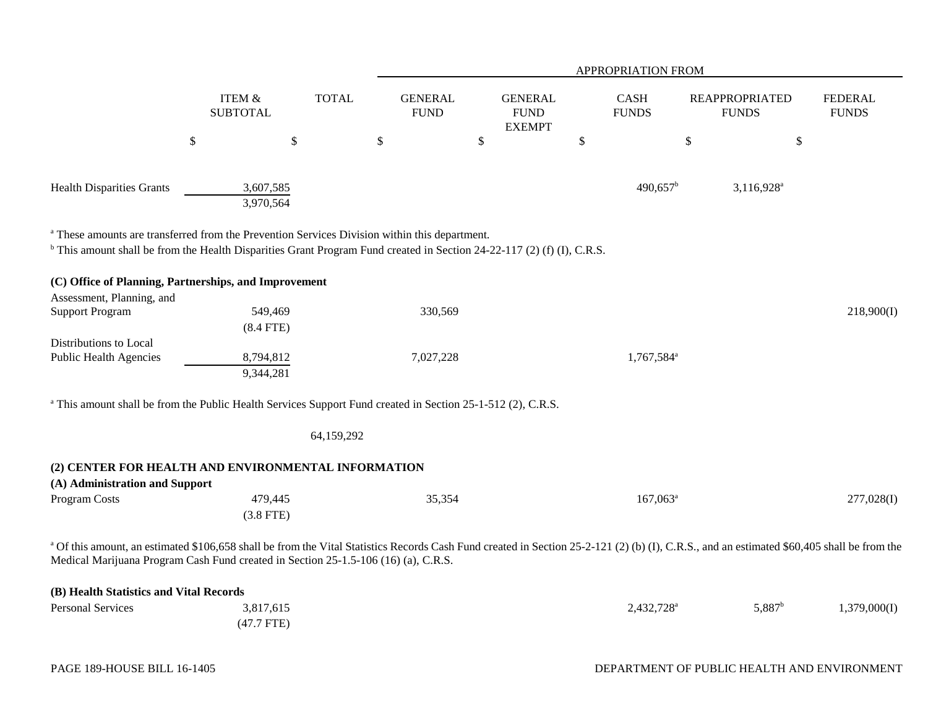|                                                                                                                                                                                                                                                                                             |                           |              |                               |                                                | APPROPRIATION FROM          |                                       |                                |
|---------------------------------------------------------------------------------------------------------------------------------------------------------------------------------------------------------------------------------------------------------------------------------------------|---------------------------|--------------|-------------------------------|------------------------------------------------|-----------------------------|---------------------------------------|--------------------------------|
|                                                                                                                                                                                                                                                                                             | ITEM &<br><b>SUBTOTAL</b> | <b>TOTAL</b> | <b>GENERAL</b><br><b>FUND</b> | <b>GENERAL</b><br><b>FUND</b><br><b>EXEMPT</b> | <b>CASH</b><br><b>FUNDS</b> | <b>REAPPROPRIATED</b><br><b>FUNDS</b> | <b>FEDERAL</b><br><b>FUNDS</b> |
|                                                                                                                                                                                                                                                                                             | $\boldsymbol{\mathsf{S}}$ | $\$$         | \$                            | $\$$                                           | \$                          | $\$$                                  | \$                             |
|                                                                                                                                                                                                                                                                                             |                           |              |                               |                                                |                             |                                       |                                |
| <b>Health Disparities Grants</b>                                                                                                                                                                                                                                                            | 3,607,585<br>3,970,564    |              |                               |                                                | 490,657 <sup>b</sup>        | 3,116,928 <sup>a</sup>                |                                |
| <sup>a</sup> These amounts are transferred from the Prevention Services Division within this department.                                                                                                                                                                                    |                           |              |                               |                                                |                             |                                       |                                |
| <sup>b</sup> This amount shall be from the Health Disparities Grant Program Fund created in Section 24-22-117 (2) (f) (I), C.R.S.                                                                                                                                                           |                           |              |                               |                                                |                             |                                       |                                |
| (C) Office of Planning, Partnerships, and Improvement                                                                                                                                                                                                                                       |                           |              |                               |                                                |                             |                                       |                                |
| Assessment, Planning, and                                                                                                                                                                                                                                                                   |                           |              |                               |                                                |                             |                                       |                                |
| <b>Support Program</b>                                                                                                                                                                                                                                                                      | 549,469                   |              | 330,569                       |                                                |                             |                                       | 218,900(I)                     |
|                                                                                                                                                                                                                                                                                             | $(8.4$ FTE)               |              |                               |                                                |                             |                                       |                                |
| Distributions to Local                                                                                                                                                                                                                                                                      |                           |              |                               |                                                |                             |                                       |                                |
| <b>Public Health Agencies</b>                                                                                                                                                                                                                                                               | 8,794,812<br>9,344,281    |              | 7,027,228                     |                                                | 1,767,584 <sup>a</sup>      |                                       |                                |
| <sup>a</sup> This amount shall be from the Public Health Services Support Fund created in Section 25-1-512 (2), C.R.S.                                                                                                                                                                      |                           |              |                               |                                                |                             |                                       |                                |
|                                                                                                                                                                                                                                                                                             |                           | 64,159,292   |                               |                                                |                             |                                       |                                |
| (2) CENTER FOR HEALTH AND ENVIRONMENTAL INFORMATION                                                                                                                                                                                                                                         |                           |              |                               |                                                |                             |                                       |                                |
| (A) Administration and Support                                                                                                                                                                                                                                                              |                           |              |                               |                                                |                             |                                       |                                |
| Program Costs                                                                                                                                                                                                                                                                               | 479,445                   |              | 35,354                        |                                                | $167,063^a$                 |                                       | 277,028(I)                     |
|                                                                                                                                                                                                                                                                                             | $(3.8$ FTE)               |              |                               |                                                |                             |                                       |                                |
| <sup>a</sup> Of this amount, an estimated \$106,658 shall be from the Vital Statistics Records Cash Fund created in Section 25-2-121 (2) (b) (I), C.R.S., and an estimated \$60,405 shall be from the<br>Medical Marijuana Program Cash Fund created in Section 25-1.5-106 (16) (a), C.R.S. |                           |              |                               |                                                |                             |                                       |                                |
| (B) Health Statistics and Vital Records                                                                                                                                                                                                                                                     |                           |              |                               |                                                |                             |                                       |                                |
| <b>Personal Services</b>                                                                                                                                                                                                                                                                    | 3,817,615<br>$(47.7$ FTE) |              |                               |                                                | 2,432,728 <sup>a</sup>      | $5,887^b$                             | 1,379,000(I)                   |
|                                                                                                                                                                                                                                                                                             |                           |              |                               |                                                |                             |                                       |                                |

# PAGE 189-HOUSE BILL 16-1405

# DEPARTMENT OF PUBLIC HEALTH AND ENVIRONMENT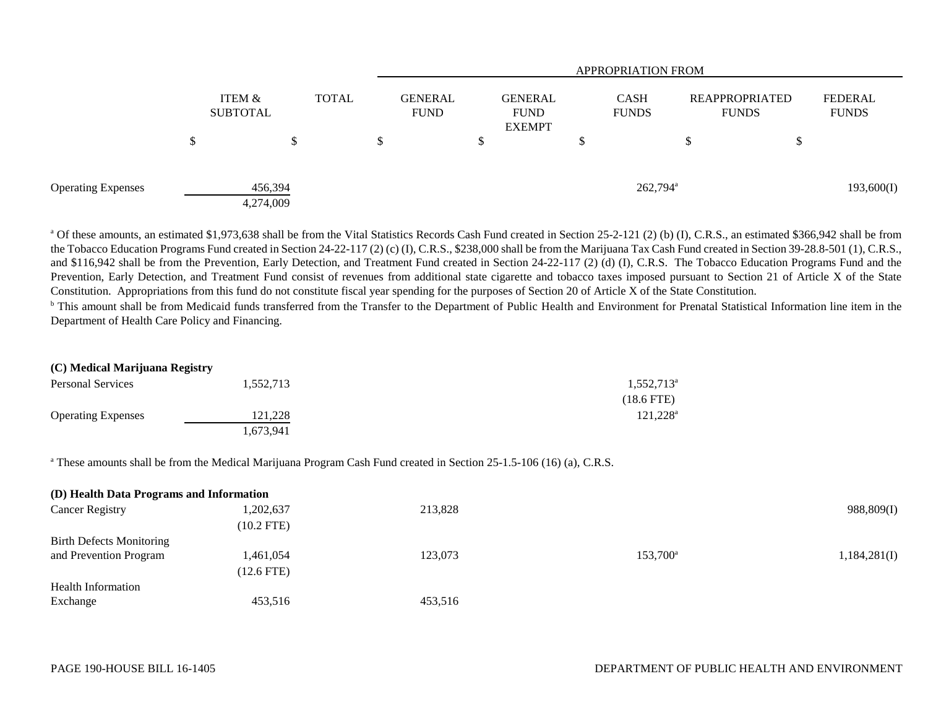|                           |                               |              | <b>APPROPRIATION FROM</b>     |  |                                                |   |                             |                                |        |                                |  |
|---------------------------|-------------------------------|--------------|-------------------------------|--|------------------------------------------------|---|-----------------------------|--------------------------------|--------|--------------------------------|--|
|                           | <b>ITEM &amp;</b><br>SUBTOTAL | <b>TOTAL</b> | <b>GENERAL</b><br><b>FUND</b> |  | <b>GENERAL</b><br><b>FUND</b><br><b>EXEMPT</b> |   | <b>CASH</b><br><b>FUNDS</b> | REAPPROPRIATED<br><b>FUNDS</b> |        | <b>FEDERAL</b><br><b>FUNDS</b> |  |
|                           | \$                            | D            | \$                            |  |                                                | Φ |                             |                                | ¢<br>Φ |                                |  |
| <b>Operating Expenses</b> | 456,394<br>4,274,009          |              |                               |  |                                                |   | $262,794^{\circ}$           |                                |        | 193,600(I)                     |  |

<sup>a</sup> Of these amounts, an estimated \$1,973,638 shall be from the Vital Statistics Records Cash Fund created in Section 25-2-121 (2) (b) (I), C.R.S., an estimated \$366,942 shall be from the Tobacco Education Programs Fund created in Section 24-22-117 (2) (c) (I), C.R.S., \$238,000 shall be from the Marijuana Tax Cash Fund created in Section 39-28.8-501 (1), C.R.S., and \$116,942 shall be from the Prevention, Early Detection, and Treatment Fund created in Section 24-22-117 (2) (d) (I), C.R.S. The Tobacco Education Programs Fund and the Prevention, Early Detection, and Treatment Fund consist of revenues from additional state cigarette and tobacco taxes imposed pursuant to Section 21 of Article X of the State Constitution. Appropriations from this fund do not constitute fiscal year spending for the purposes of Section 20 of Article X of the State Constitution.

<sup>b</sup> This amount shall be from Medicaid funds transferred from the Transfer to the Department of Public Health and Environment for Prenatal Statistical Information line item in the Department of Health Care Policy and Financing.

| (C) Medical Marijuana Registry |           |                        |
|--------------------------------|-----------|------------------------|
| <b>Personal Services</b>       | 1.552.713 | 1,552,713 <sup>a</sup> |
|                                |           | $(18.6$ FTE)           |
| <b>Operating Expenses</b>      | 121,228   | $121,228^a$            |
|                                | . 673.941 |                        |

<sup>a</sup> These amounts shall be from the Medical Marijuana Program Cash Fund created in Section 25-1.5-106 (16) (a), C.R.S.

| (D) Health Data Programs and Information |              |         |                   |              |
|------------------------------------------|--------------|---------|-------------------|--------------|
| <b>Cancer Registry</b>                   | 1,202,637    | 213,828 |                   | 988,809(I)   |
|                                          | $(10.2$ FTE) |         |                   |              |
| <b>Birth Defects Monitoring</b>          |              |         |                   |              |
| and Prevention Program                   | 1,461,054    | 123,073 | $153,700^{\rm a}$ | 1,184,281(I) |
|                                          | $(12.6$ FTE) |         |                   |              |
| <b>Health Information</b>                |              |         |                   |              |
| Exchange                                 | 453,516      | 453,516 |                   |              |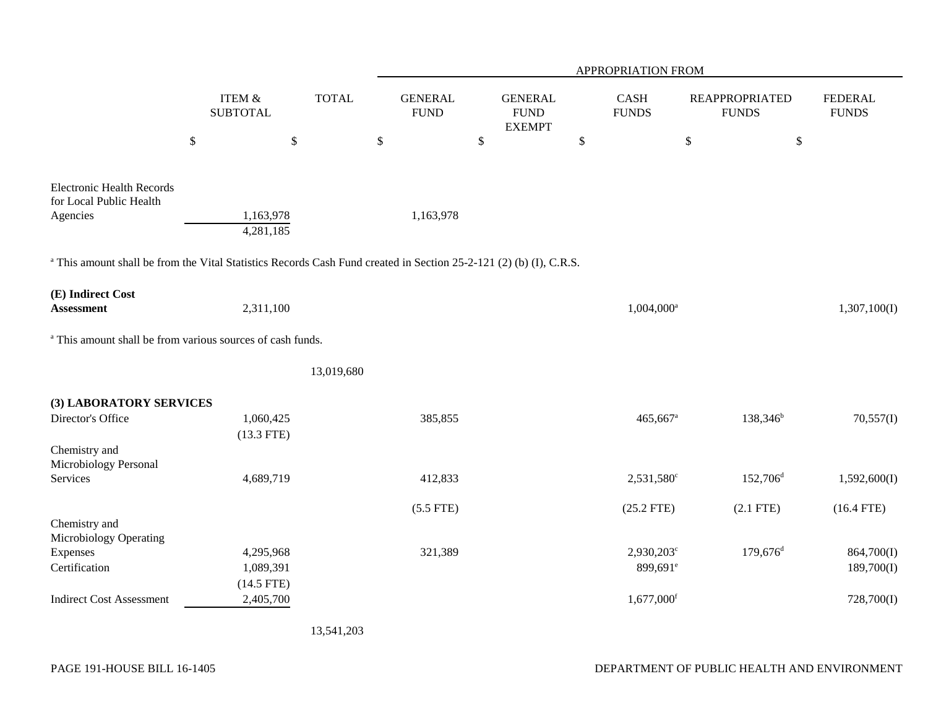|                                                                                                                               |                           |              |                               |                                                | APPROPRIATION FROM                          |                                       |                                |
|-------------------------------------------------------------------------------------------------------------------------------|---------------------------|--------------|-------------------------------|------------------------------------------------|---------------------------------------------|---------------------------------------|--------------------------------|
|                                                                                                                               | ITEM &<br><b>SUBTOTAL</b> | <b>TOTAL</b> | <b>GENERAL</b><br><b>FUND</b> | <b>GENERAL</b><br><b>FUND</b><br><b>EXEMPT</b> | CASH<br><b>FUNDS</b>                        | <b>REAPPROPRIATED</b><br><b>FUNDS</b> | <b>FEDERAL</b><br><b>FUNDS</b> |
|                                                                                                                               | $\mathbb{S}$              | $\mathbb{S}$ | \$                            | $\boldsymbol{\mathsf{S}}$                      | $\boldsymbol{\mathsf{S}}$                   | $\mathbb{S}$                          | $\$$                           |
| <b>Electronic Health Records</b><br>for Local Public Health<br>Agencies                                                       | 1,163,978<br>4,281,185    |              | 1,163,978                     |                                                |                                             |                                       |                                |
| <sup>a</sup> This amount shall be from the Vital Statistics Records Cash Fund created in Section 25-2-121 (2) (b) (I), C.R.S. |                           |              |                               |                                                |                                             |                                       |                                |
| (E) Indirect Cost<br><b>Assessment</b>                                                                                        | 2,311,100                 |              |                               |                                                | 1,004,000 <sup>a</sup>                      |                                       | 1,307,100(I)                   |
| <sup>a</sup> This amount shall be from various sources of cash funds.                                                         |                           |              |                               |                                                |                                             |                                       |                                |
|                                                                                                                               |                           | 13,019,680   |                               |                                                |                                             |                                       |                                |
| (3) LABORATORY SERVICES                                                                                                       |                           |              |                               |                                                |                                             |                                       |                                |
| Director's Office                                                                                                             | 1,060,425<br>$(13.3$ FTE) |              | 385,855                       |                                                | 465,667 <sup>a</sup>                        | $138,346^b$                           | 70,557(I)                      |
| Chemistry and<br>Microbiology Personal                                                                                        |                           |              |                               |                                                |                                             |                                       |                                |
| Services                                                                                                                      | 4,689,719                 |              | 412,833                       |                                                | 2,531,580 <sup>c</sup>                      | $152,706^{\rm d}$                     | 1,592,600(I)                   |
|                                                                                                                               |                           |              | $(5.5$ FTE)                   |                                                | $(25.2$ FTE)                                | $(2.1$ FTE)                           | $(16.4$ FTE)                   |
| Chemistry and<br>Microbiology Operating                                                                                       |                           |              |                               |                                                |                                             |                                       |                                |
| Expenses<br>Certification                                                                                                     | 4,295,968                 |              | 321,389                       |                                                | $2,930,203^{\circ}$<br>899,691 <sup>e</sup> | $179,676$ <sup>d</sup>                | 864,700(I)<br>189,700(I)       |
|                                                                                                                               | 1,089,391<br>$(14.5$ FTE) |              |                               |                                                |                                             |                                       |                                |
| <b>Indirect Cost Assessment</b>                                                                                               | 2,405,700                 |              |                               |                                                | $1,677,000$ <sup>f</sup>                    |                                       | 728,700(I)                     |
|                                                                                                                               |                           |              |                               |                                                |                                             |                                       |                                |

13,541,203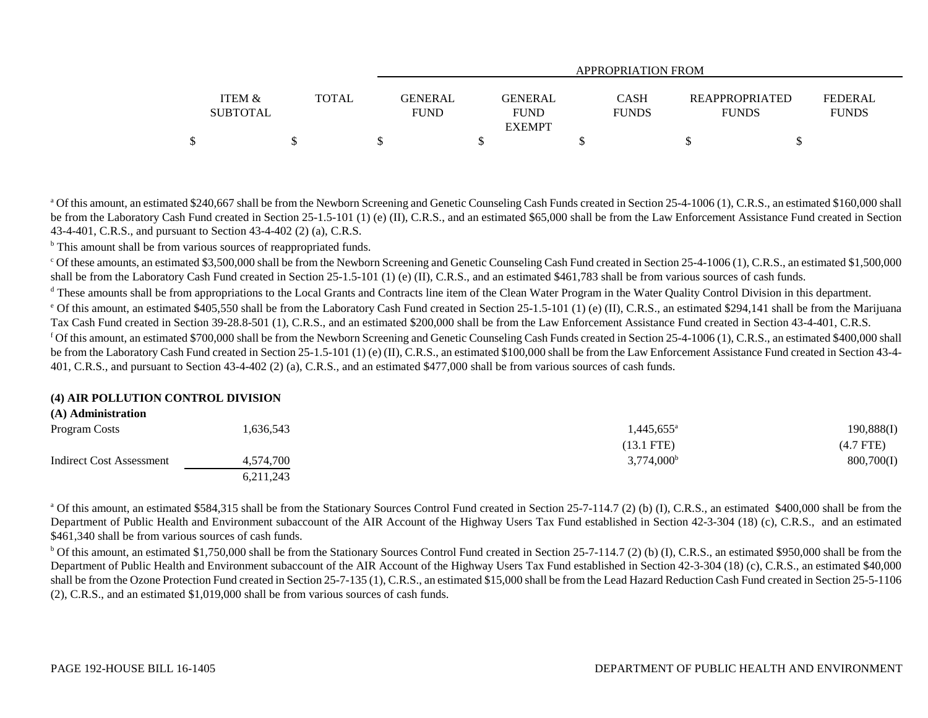|                           |              | APPROPRIATION FROM     |                                                       |                                       |                         |  |  |  |  |  |
|---------------------------|--------------|------------------------|-------------------------------------------------------|---------------------------------------|-------------------------|--|--|--|--|--|
| ITEM &<br><b>SUBTOTAL</b> | <b>TOTAL</b> | GENERAL<br><b>FUND</b> | <b>GENERAL</b><br>CASH<br><b>FUND</b><br><b>FUNDS</b> | <b>REAPPROPRIATED</b><br><b>FUNDS</b> | FEDERAL<br><b>FUNDS</b> |  |  |  |  |  |
|                           |              |                        | <b>EXEMPT</b>                                         |                                       |                         |  |  |  |  |  |
|                           |              |                        |                                                       |                                       |                         |  |  |  |  |  |

<sup>a</sup> Of this amount, an estimated \$240,667 shall be from the Newborn Screening and Genetic Counseling Cash Funds created in Section 25-4-1006 (1), C.R.S., an estimated \$160,000 shall be from the Laboratory Cash Fund created in Section 25-1.5-101 (1) (e) (II), C.R.S., and an estimated \$65,000 shall be from the Law Enforcement Assistance Fund created in Section 43-4-401, C.R.S., and pursuant to Section 43-4-402 (2) (a), C.R.S.

<sup>b</sup> This amount shall be from various sources of reappropriated funds.

<sup>c</sup> Of these amounts, an estimated \$3,500,000 shall be from the Newborn Screening and Genetic Counseling Cash Fund created in Section 25-4-1006 (1), C.R.S., an estimated \$1,500,000 shall be from the Laboratory Cash Fund created in Section 25-1.5-101 (1) (e) (II), C.R.S., and an estimated \$461,783 shall be from various sources of cash funds.

<sup>d</sup> These amounts shall be from appropriations to the Local Grants and Contracts line item of the Clean Water Program in the Water Quality Control Division in this department.

 $^{\circ}$  Of this amount, an estimated \$405,550 shall be from the Laboratory Cash Fund created in Section 25-1.5-101 (1) (e) (II), C.R.S., an estimated \$294,141 shall be from the Marijuana Tax Cash Fund created in Section 39-28.8-501 (1), C.R.S., and an estimated \$200,000 shall be from the Law Enforcement Assistance Fund created in Section 43-4-401, C.R.S. <sup>f</sup> Of this amount, an estimated \$700,000 shall be from the Newborn Screening and Genetic Counseling Cash Funds created in Section 25-4-1006 (1), C.R.S., an estimated \$400,000 shall be from the Laboratory Cash Fund created in Section 25-1.5-101 (1) (e) (II), C.R.S., an estimated \$100,000 shall be from the Law Enforcement Assistance Fund created in Section 43-4-401, C.R.S., and pursuant to Section 43-4-402 (2) (a), C.R.S., and an estimated \$477,000 shall be from various sources of cash funds.

#### **(4) AIR POLLUTION CONTROL DIVISION**

# **(A) Administration** Program Costs 1,636,543 1,445,655a 190,888(I) (13.1 FTE) (4.7 FTE) Indirect Cost Assessment 4,574,700 4,574,700 3,774,000 3,774,000 3,774,000 800,700(I) 6,211,243

<sup>a</sup> Of this amount, an estimated \$584,315 shall be from the Stationary Sources Control Fund created in Section 25-7-114.7 (2) (b) (I), C.R.S., an estimated \$400,000 shall be from the Department of Public Health and Environment subaccount of the AIR Account of the Highway Users Tax Fund established in Section 42-3-304 (18) (c), C.R.S., and an estimated \$461,340 shall be from various sources of cash funds.

 $b$  Of this amount, an estimated \$1,750,000 shall be from the Stationary Sources Control Fund created in Section 25-7-114.7 (2) (b) (I), C.R.S., an estimated \$950,000 shall be from the Department of Public Health and Environment subaccount of the AIR Account of the Highway Users Tax Fund established in Section 42-3-304 (18) (c), C.R.S., an estimated \$40,000 shall be from the Ozone Protection Fund created in Section 25-7-135 (1), C.R.S., an estimated \$15,000 shall be from the Lead Hazard Reduction Cash Fund created in Section 25-5-1106 (2), C.R.S., and an estimated \$1,019,000 shall be from various sources of cash funds.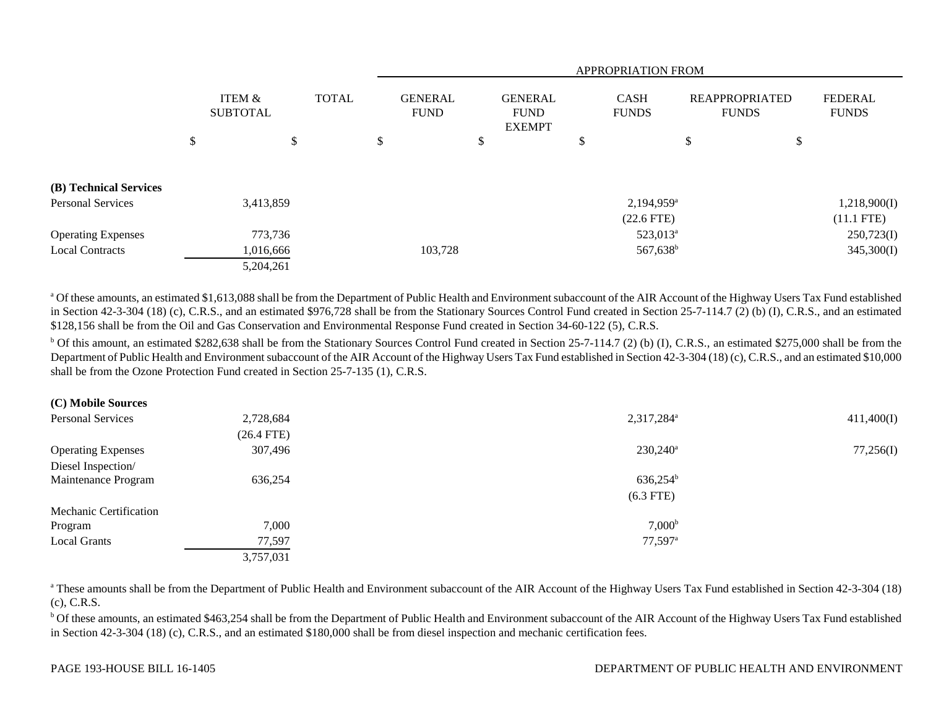|                           |        |                           |              |  |                               | <b>APPROPRIATION FROM</b> |                                                |  |                             |                                       |         |                                |              |  |
|---------------------------|--------|---------------------------|--------------|--|-------------------------------|---------------------------|------------------------------------------------|--|-----------------------------|---------------------------------------|---------|--------------------------------|--------------|--|
|                           |        | ITEM &<br><b>SUBTOTAL</b> | <b>TOTAL</b> |  | <b>GENERAL</b><br><b>FUND</b> |                           | <b>GENERAL</b><br><b>FUND</b><br><b>EXEMPT</b> |  | <b>CASH</b><br><b>FUNDS</b> | <b>REAPPROPRIATED</b><br><b>FUNDS</b> |         | <b>FEDERAL</b><br><b>FUNDS</b> |              |  |
|                           | ¢<br>Ф |                           | \$           |  | D.                            |                           | P                                              |  | \$                          |                                       | Φ<br>J. | \$                             |              |  |
| (B) Technical Services    |        |                           |              |  |                               |                           |                                                |  |                             |                                       |         |                                |              |  |
| <b>Personal Services</b>  |        | 3,413,859                 |              |  |                               |                           |                                                |  |                             | $2,194,959^{\circ}$                   |         |                                | 1,218,900(I) |  |
|                           |        |                           |              |  |                               |                           |                                                |  |                             | $(22.6$ FTE $)$                       |         |                                | $(11.1$ FTE) |  |
| <b>Operating Expenses</b> |        | 773,736                   |              |  |                               |                           |                                                |  |                             | 523,013 <sup>a</sup>                  |         |                                | 250,723(I)   |  |
| <b>Local Contracts</b>    |        | 1,016,666                 |              |  |                               | 103,728                   |                                                |  |                             | $567,638^{\rm b}$                     |         |                                | 345,300(I)   |  |
|                           |        | 5,204,261                 |              |  |                               |                           |                                                |  |                             |                                       |         |                                |              |  |

<sup>a</sup> Of these amounts, an estimated \$1,613,088 shall be from the Department of Public Health and Environment subaccount of the AIR Account of the Highway Users Tax Fund established in Section 42-3-304 (18) (c), C.R.S., and an estimated \$976,728 shall be from the Stationary Sources Control Fund created in Section 25-7-114.7 (2) (b) (I), C.R.S., and an estimated \$128,156 shall be from the Oil and Gas Conservation and Environmental Response Fund created in Section 34-60-122 (5), C.R.S.

 $b$  Of this amount, an estimated \$282,638 shall be from the Stationary Sources Control Fund created in Section 25-7-114.7 (2) (b) (I), C.R.S., an estimated \$275,000 shall be from the Department of Public Health and Environment subaccount of the AIR Account of the Highway Users Tax Fund established in Section 42-3-304 (18) (c), C.R.S., and an estimated \$10,000 shall be from the Ozone Protection Fund created in Section 25-7-135 (1), C.R.S.

| (C) Mobile Sources |  |
|--------------------|--|
|--------------------|--|

| Personal Services         | 2,728,684    | 2,317,284 <sup>a</sup> | 411,400(I) |
|---------------------------|--------------|------------------------|------------|
|                           | $(26.4$ FTE) |                        |            |
| <b>Operating Expenses</b> | 307,496      | $230,240^a$            | 77,256(I)  |
| Diesel Inspection/        |              |                        |            |
| Maintenance Program       | 636,254      | $636,254^{\rm b}$      |            |
|                           |              | $(6.3$ FTE)            |            |
| Mechanic Certification    |              |                        |            |
| Program                   | 7,000        | 7,000 <sup>b</sup>     |            |
| <b>Local Grants</b>       | 77,597       | $77,597$ <sup>a</sup>  |            |
|                           | 3,757,031    |                        |            |

<sup>a</sup> These amounts shall be from the Department of Public Health and Environment subaccount of the AIR Account of the Highway Users Tax Fund established in Section 42-3-304 (18) (c), C.R.S.

<sup>b</sup> Of these amounts, an estimated \$463,254 shall be from the Department of Public Health and Environment subaccount of the AIR Account of the Highway Users Tax Fund established in Section 42-3-304 (18) (c), C.R.S., and an estimated \$180,000 shall be from diesel inspection and mechanic certification fees.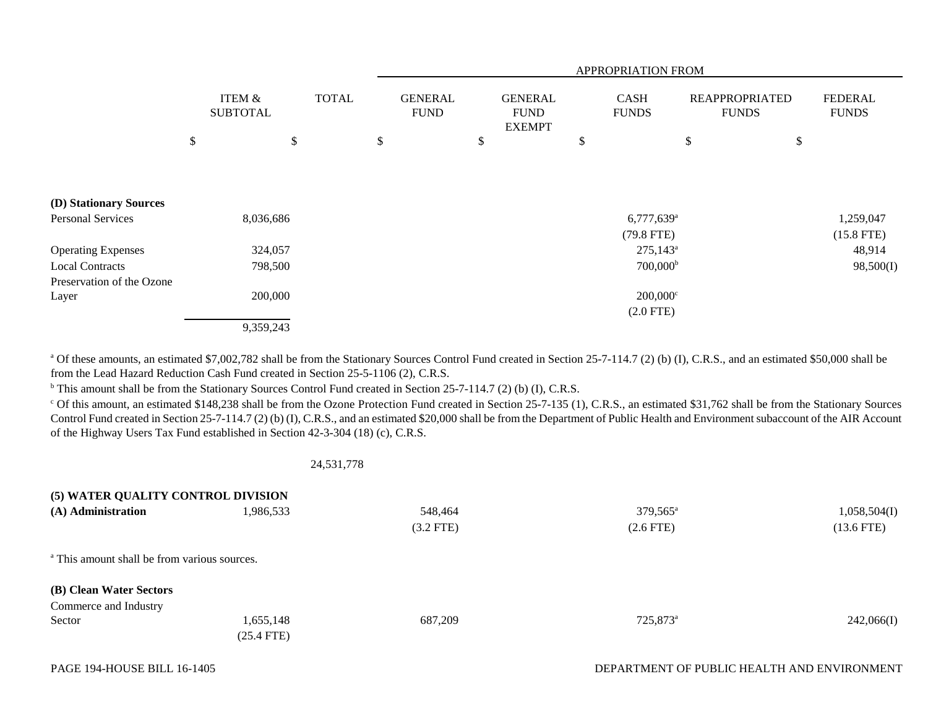|                           |                           |              | APPROPRIATION FROM |                               |    |                                                |    |                             |    |                                       |                                |
|---------------------------|---------------------------|--------------|--------------------|-------------------------------|----|------------------------------------------------|----|-----------------------------|----|---------------------------------------|--------------------------------|
|                           | ITEM &<br><b>SUBTOTAL</b> | <b>TOTAL</b> |                    | <b>GENERAL</b><br><b>FUND</b> |    | <b>GENERAL</b><br><b>FUND</b><br><b>EXEMPT</b> |    | <b>CASH</b><br><b>FUNDS</b> |    | <b>REAPPROPRIATED</b><br><b>FUNDS</b> | <b>FEDERAL</b><br><b>FUNDS</b> |
|                           | \$<br>\$                  |              | \$                 |                               | \$ |                                                | \$ |                             | \$ | \$                                    |                                |
|                           |                           |              |                    |                               |    |                                                |    |                             |    |                                       |                                |
| (D) Stationary Sources    |                           |              |                    |                               |    |                                                |    |                             |    |                                       |                                |
| Personal Services         | 8,036,686                 |              |                    |                               |    |                                                |    | $6,777,639$ <sup>a</sup>    |    |                                       | 1,259,047                      |
|                           |                           |              |                    |                               |    |                                                |    | $(79.8$ FTE)                |    |                                       | $(15.8$ FTE)                   |
| <b>Operating Expenses</b> | 324,057                   |              |                    |                               |    |                                                |    | $275,143^{\circ}$           |    |                                       | 48,914                         |
| <b>Local Contracts</b>    | 798,500                   |              |                    |                               |    |                                                |    | $700,000^{\rm b}$           |    |                                       | 98,500(I)                      |
| Preservation of the Ozone |                           |              |                    |                               |    |                                                |    |                             |    |                                       |                                |
| Layer                     | 200,000                   |              |                    |                               |    |                                                |    | $200,000$ <sup>c</sup>      |    |                                       |                                |
|                           |                           |              |                    |                               |    |                                                |    | $(2.0$ FTE)                 |    |                                       |                                |
|                           | 9,359,243                 |              |                    |                               |    |                                                |    |                             |    |                                       |                                |

<sup>a</sup> Of these amounts, an estimated \$7,002,782 shall be from the Stationary Sources Control Fund created in Section 25-7-114.7 (2) (b) (I), C.R.S., and an estimated \$50,000 shall be from the Lead Hazard Reduction Cash Fund created in Section 25-5-1106 (2), C.R.S.

<sup>b</sup> This amount shall be from the Stationary Sources Control Fund created in Section 25-7-114.7 (2) (b) (I), C.R.S.

<sup>c</sup> Of this amount, an estimated \$148,238 shall be from the Ozone Protection Fund created in Section 25-7-135 (1), C.R.S., an estimated \$31,762 shall be from the Stationary Sources Control Fund created in Section 25-7-114.7 (2) (b) (I), C.R.S., and an estimated \$20,000 shall be from the Department of Public Health and Environment subaccount of the AIR Account of the Highway Users Tax Fund established in Section 42-3-304 (18) (c), C.R.S.

24,531,778

| (5) WATER QUALITY CONTROL DIVISION                      |              |             |                      |              |
|---------------------------------------------------------|--------------|-------------|----------------------|--------------|
| (A) Administration                                      | 1,986,533    | 548,464     | $379,565^{\circ}$    | 1,058,504(I) |
|                                                         |              | $(3.2$ FTE) | $(2.6$ FTE)          | $(13.6$ FTE) |
| <sup>a</sup> This amount shall be from various sources. |              |             |                      |              |
| (B) Clean Water Sectors                                 |              |             |                      |              |
| Commerce and Industry                                   |              |             |                      |              |
| Sector                                                  | 1,655,148    | 687,209     | 725,873 <sup>a</sup> | 242,066(I)   |
|                                                         | $(25.4$ FTE) |             |                      |              |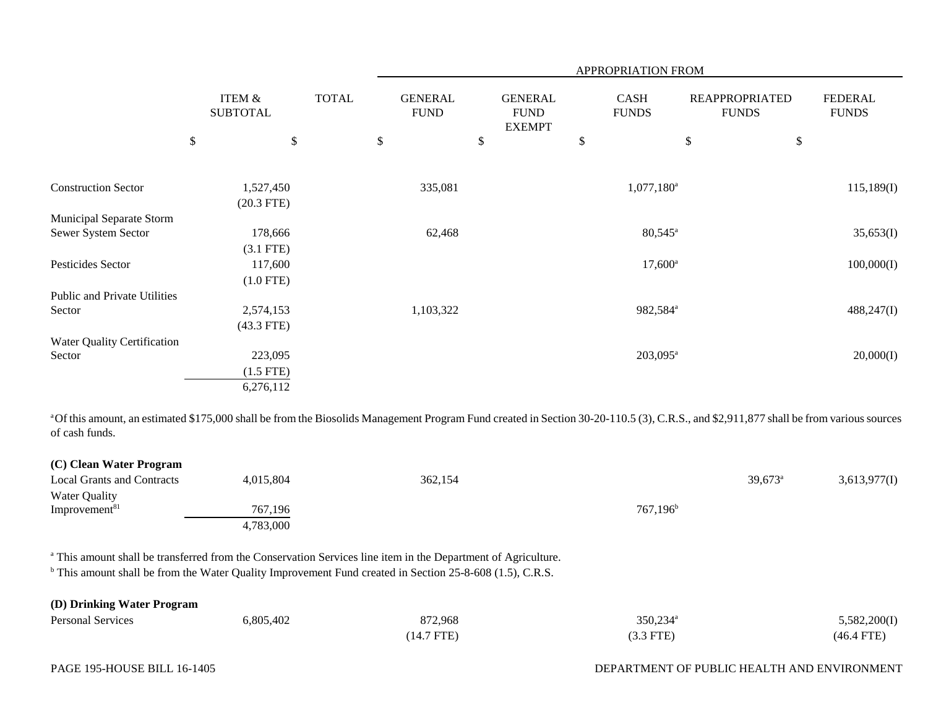|                              |                                      |              |                               |                                                |              | APPROPRIATION FROM          |                                       |                                |
|------------------------------|--------------------------------------|--------------|-------------------------------|------------------------------------------------|--------------|-----------------------------|---------------------------------------|--------------------------------|
|                              | <b>ITEM &amp;</b><br><b>SUBTOTAL</b> | <b>TOTAL</b> | <b>GENERAL</b><br><b>FUND</b> | <b>GENERAL</b><br><b>FUND</b><br><b>EXEMPT</b> |              | <b>CASH</b><br><b>FUNDS</b> | <b>REAPPROPRIATED</b><br><b>FUNDS</b> | <b>FEDERAL</b><br><b>FUNDS</b> |
|                              | $\$$                                 | \$           | \$<br>\$                      |                                                | $\mathbb{S}$ |                             | \$                                    | $\$$                           |
|                              |                                      |              |                               |                                                |              |                             |                                       |                                |
| <b>Construction Sector</b>   | 1,527,450                            |              | 335,081                       |                                                |              | $1,077,180$ <sup>a</sup>    |                                       | 115,189(I)                     |
|                              | $(20.3$ FTE)                         |              |                               |                                                |              |                             |                                       |                                |
| Municipal Separate Storm     |                                      |              |                               |                                                |              |                             |                                       |                                |
| Sewer System Sector          | 178,666                              |              | 62,468                        |                                                |              | $80,545^{\circ}$            |                                       | 35,653(I)                      |
|                              | $(3.1$ FTE)                          |              |                               |                                                |              |                             |                                       |                                |
| Pesticides Sector            | 117,600                              |              |                               |                                                |              | $17,600^{\circ}$            |                                       | 100,000(I)                     |
|                              | $(1.0$ FTE)                          |              |                               |                                                |              |                             |                                       |                                |
| Public and Private Utilities |                                      |              |                               |                                                |              |                             |                                       |                                |
| Sector                       | 2,574,153                            |              | 1,103,322                     |                                                |              | 982,584 <sup>a</sup>        |                                       | 488,247(I)                     |
|                              | $(43.3$ FTE)                         |              |                               |                                                |              |                             |                                       |                                |
| Water Quality Certification  |                                      |              |                               |                                                |              |                             |                                       |                                |
| Sector                       | 223,095                              |              |                               |                                                |              | $203,095^{\rm a}$           |                                       | 20,000(I)                      |
|                              | $(1.5$ FTE)                          |              |                               |                                                |              |                             |                                       |                                |
|                              | 6,276,112                            |              |                               |                                                |              |                             |                                       |                                |

<sup>a</sup>Of this amount, an estimated \$175,000 shall be from the Biosolids Management Program Fund created in Section 30-20-110.5 (3), C.R.S., and \$2,911,877 shall be from various sources of cash funds.

| (C) Clean Water Program           |           |         |             |                  |              |
|-----------------------------------|-----------|---------|-------------|------------------|--------------|
| <b>Local Grants and Contracts</b> | 4,015,804 | 362,154 |             | $39,673^{\circ}$ | 3,613,977(I) |
| <b>Water Quality</b>              |           |         |             |                  |              |
| Improvement <sup>81</sup>         | 767,196   |         | $767,196^b$ |                  |              |
|                                   | 4,783,000 |         |             |                  |              |

a This amount shall be transferred from the Conservation Services line item in the Department of Agriculture.

<sup>b</sup> This amount shall be from the Water Quality Improvement Fund created in Section 25-8-608 (1.5), C.R.S.

| (D) Drinking Water Program |           |            |                      |              |
|----------------------------|-----------|------------|----------------------|--------------|
| <b>Personal Services</b>   | 6,805,402 | 872,968    | 350,234 <sup>a</sup> | 5,582,200(I) |
|                            |           | (14.7 FTE) | (3.3 FTE)            | $(46.4$ FTE) |

# DEPARTMENT OF PUBLIC HEALTH AND ENVIRONMENT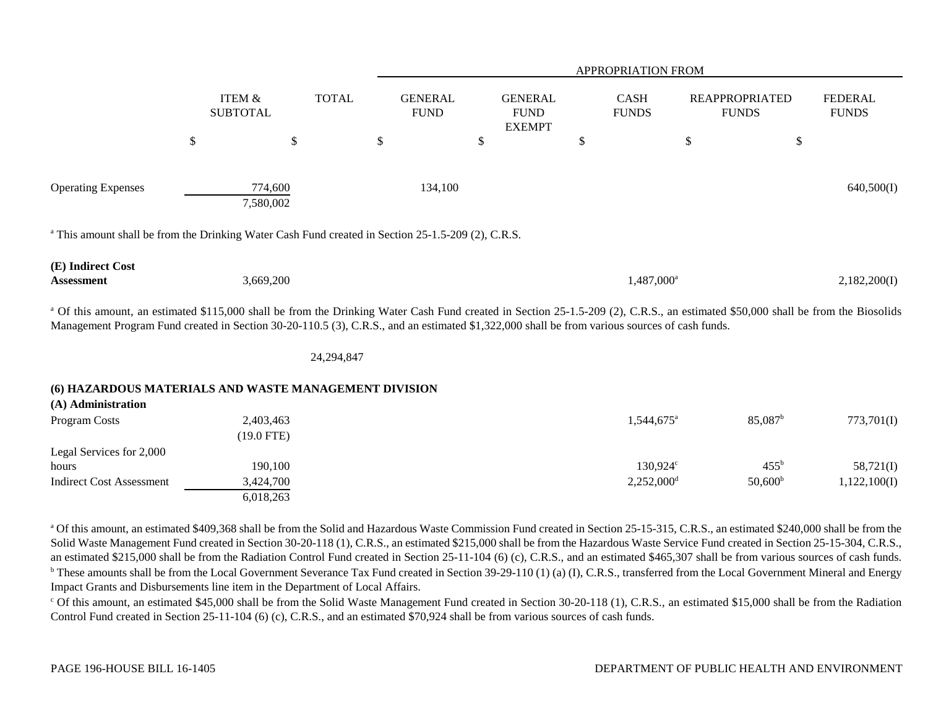|                                                                                                                                                                                                                                                                                                                                              |                                      |              |                               |                                                | APPROPRIATION FROM          |                                       |                                |
|----------------------------------------------------------------------------------------------------------------------------------------------------------------------------------------------------------------------------------------------------------------------------------------------------------------------------------------------|--------------------------------------|--------------|-------------------------------|------------------------------------------------|-----------------------------|---------------------------------------|--------------------------------|
|                                                                                                                                                                                                                                                                                                                                              | <b>ITEM &amp;</b><br><b>SUBTOTAL</b> | <b>TOTAL</b> | <b>GENERAL</b><br><b>FUND</b> | <b>GENERAL</b><br><b>FUND</b><br><b>EXEMPT</b> | <b>CASH</b><br><b>FUNDS</b> | <b>REAPPROPRIATED</b><br><b>FUNDS</b> | <b>FEDERAL</b><br><b>FUNDS</b> |
|                                                                                                                                                                                                                                                                                                                                              | \$                                   | \$           | \$                            | \$                                             | \$                          | $\mathbb{S}$                          | \$                             |
|                                                                                                                                                                                                                                                                                                                                              |                                      |              |                               |                                                |                             |                                       |                                |
| <b>Operating Expenses</b>                                                                                                                                                                                                                                                                                                                    | 774,600<br>7,580,002                 |              | 134,100                       |                                                |                             |                                       | 640,500(I)                     |
| <sup>a</sup> This amount shall be from the Drinking Water Cash Fund created in Section 25-1.5-209 (2), C.R.S.                                                                                                                                                                                                                                |                                      |              |                               |                                                |                             |                                       |                                |
| (E) Indirect Cost<br>Assessment                                                                                                                                                                                                                                                                                                              | 3,669,200                            |              |                               |                                                | 1,487,000 <sup>a</sup>      |                                       | 2,182,200(I)                   |
| <sup>a</sup> Of this amount, an estimated \$115,000 shall be from the Drinking Water Cash Fund created in Section 25-1.5-209 (2), C.R.S., an estimated \$50,000 shall be from the Biosolids<br>Management Program Fund created in Section 30-20-110.5 (3), C.R.S., and an estimated \$1,322,000 shall be from various sources of cash funds. |                                      |              |                               |                                                |                             |                                       |                                |
|                                                                                                                                                                                                                                                                                                                                              |                                      | 24,294,847   |                               |                                                |                             |                                       |                                |
| (6) HAZARDOUS MATERIALS AND WASTE MANAGEMENT DIVISION<br>(A) Administration                                                                                                                                                                                                                                                                  |                                      |              |                               |                                                |                             |                                       |                                |
| Program Costs                                                                                                                                                                                                                                                                                                                                | 2,403,463<br>$(19.0$ FTE)            |              |                               |                                                | 1,544,675 <sup>a</sup>      | $85,087$ <sup>b</sup>                 | 773,701(I)                     |
| Legal Services for 2,000                                                                                                                                                                                                                                                                                                                     |                                      |              |                               |                                                |                             |                                       |                                |
| hours                                                                                                                                                                                                                                                                                                                                        | 190,100                              |              |                               |                                                | $130,924^{\circ}$           | $455^{\rm b}$                         | 58,721(I)                      |
| <b>Indirect Cost Assessment</b>                                                                                                                                                                                                                                                                                                              | 3,424,700<br>6,018,263               |              |                               |                                                | $2,252,000$ <sup>d</sup>    | $50,600^{\rm b}$                      | 1,122,100(I)                   |

<sup>a</sup> Of this amount, an estimated \$409,368 shall be from the Solid and Hazardous Waste Commission Fund created in Section 25-15-315, C.R.S., an estimated \$240,000 shall be from the Solid Waste Management Fund created in Section 30-20-118 (1), C.R.S., an estimated \$215,000 shall be from the Hazardous Waste Service Fund created in Section 25-15-304, C.R.S., an estimated \$215,000 shall be from the Radiation Control Fund created in Section 25-11-104 (6) (c), C.R.S., and an estimated \$465,307 shall be from various sources of cash funds. <sup>b</sup> These amounts shall be from the Local Government Severance Tax Fund created in Section 39-29-110 (1) (a) (I), C.R.S., transferred from the Local Government Mineral and Energy Impact Grants and Disbursements line item in the Department of Local Affairs.

 $\degree$  Of this amount, an estimated \$45,000 shall be from the Solid Waste Management Fund created in Section 30-20-118 (1), C.R.S., an estimated \$15,000 shall be from the Radiation Control Fund created in Section 25-11-104 (6) (c), C.R.S., and an estimated \$70,924 shall be from various sources of cash funds.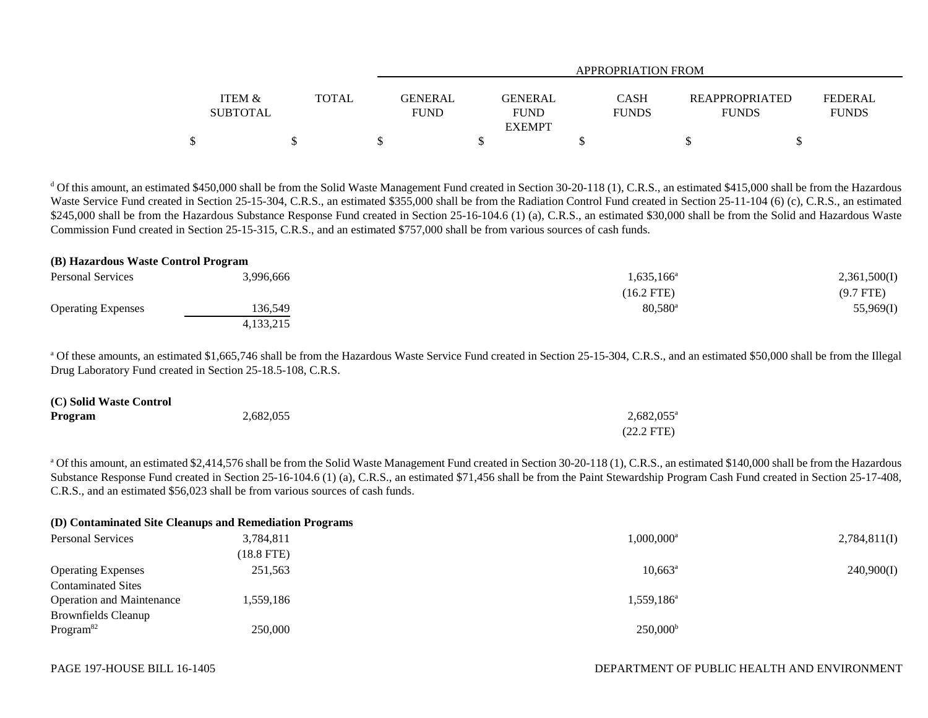|                           |       |                        | <b>APPROPRIATION FROM</b>     |                             |                                       |                                |  |  |  |  |
|---------------------------|-------|------------------------|-------------------------------|-----------------------------|---------------------------------------|--------------------------------|--|--|--|--|
| ITEM &<br><b>SUBTOTAL</b> | TOTAL | GENERAL<br><b>FUND</b> | <b>GENERAL</b><br><b>FUND</b> | <b>CASH</b><br><b>FUNDS</b> | <b>REAPPROPRIATED</b><br><b>FUNDS</b> | <b>FEDERAL</b><br><b>FUNDS</b> |  |  |  |  |
|                           |       |                        | <b>EXEMPT</b>                 |                             |                                       |                                |  |  |  |  |
|                           |       |                        |                               |                             |                                       |                                |  |  |  |  |

<sup>d</sup> Of this amount, an estimated \$450,000 shall be from the Solid Waste Management Fund created in Section 30-20-118 (1), C.R.S., an estimated \$415,000 shall be from the Hazardous Waste Service Fund created in Section 25-15-304, C.R.S., an estimated \$355,000 shall be from the Radiation Control Fund created in Section 25-11-104 (6) (c), C.R.S., an estimated \$245,000 shall be from the Hazardous Substance Response Fund created in Section 25-16-104.6 (1) (a), C.R.S., an estimated \$30,000 shall be from the Solid and Hazardous Waste Commission Fund created in Section 25-15-315, C.R.S., and an estimated \$757,000 shall be from various sources of cash funds.

#### **(B) Hazardous Waste Control Program**

| <b>Personal Services</b>  | 3,996,666 | $1,635,166^{\circ}$ | 2,361,500(I) |
|---------------------------|-----------|---------------------|--------------|
|                           |           | $(16.2$ FTE)        | $(9.7$ FTE)  |
| <b>Operating Expenses</b> | 136,549   | $80,580^{\rm a}$    | 55,969(I)    |
|                           | 4,133,215 |                     |              |

<sup>a</sup> Of these amounts, an estimated \$1,665,746 shall be from the Hazardous Waste Service Fund created in Section 25-15-304, C.R.S., and an estimated \$50,000 shall be from the Illegal Drug Laboratory Fund created in Section 25-18.5-108, C.R.S.

| (C) Solid Waste Control |           |                      |
|-------------------------|-----------|----------------------|
| Program                 | 2,682,055 | $2,682,055^{\circ}$  |
|                         |           | $(22.2 \text{ FTE})$ |

<sup>a</sup> Of this amount, an estimated \$2,414,576 shall be from the Solid Waste Management Fund created in Section 30-20-118 (1), C.R.S., an estimated \$140,000 shall be from the Hazardous Substance Response Fund created in Section 25-16-104.6 (1) (a), C.R.S., an estimated \$71,456 shall be from the Paint Stewardship Program Cash Fund created in Section 25-17-408, C.R.S., and an estimated \$56,023 shall be from various sources of cash funds.

|                                  | (D) Contaminated Site Cleanups and Remediation Programs |                          |              |
|----------------------------------|---------------------------------------------------------|--------------------------|--------------|
| <b>Personal Services</b>         | 3,784,811                                               | $1.000.000$ <sup>a</sup> | 2,784,811(I) |
|                                  | $(18.8$ FTE)                                            |                          |              |
| <b>Operating Expenses</b>        | 251,563                                                 | $10,663^{\circ}$         | 240,900(I)   |
| <b>Contaminated Sites</b>        |                                                         |                          |              |
| <b>Operation and Maintenance</b> | 1.559.186                                               | $1.559.186^{\mathrm{a}}$ |              |
| <b>Brownfields Cleanup</b>       |                                                         |                          |              |
| Program <sup>82</sup>            | 250,000                                                 | $250,000^{\rm b}$        |              |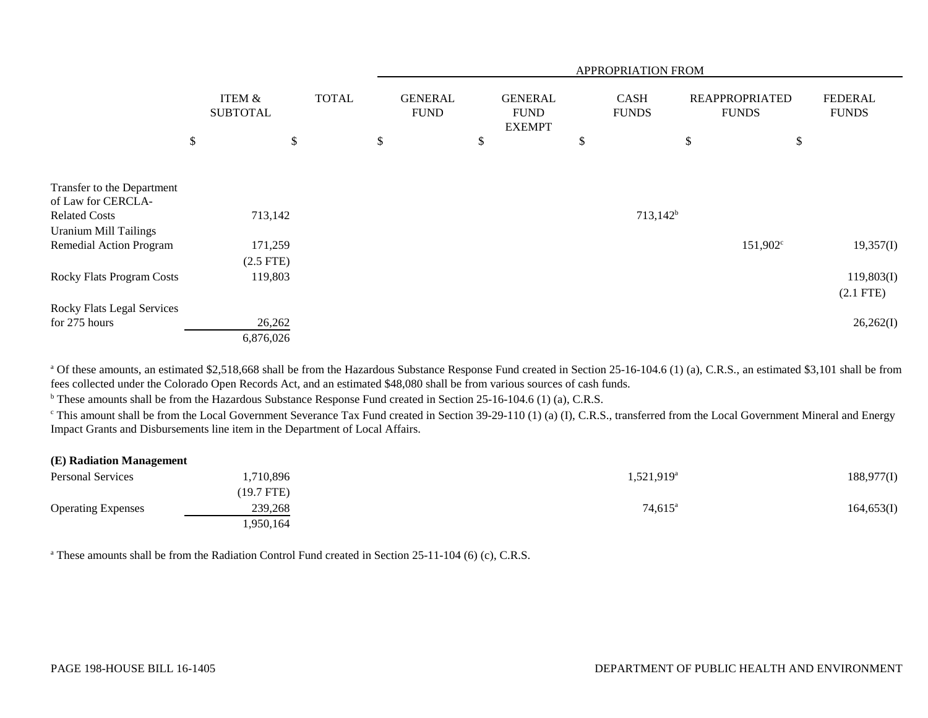|                                                      |                                      |              | APPROPRIATION FROM            |    |                                                |    |                             |    |                                       |                                |  |
|------------------------------------------------------|--------------------------------------|--------------|-------------------------------|----|------------------------------------------------|----|-----------------------------|----|---------------------------------------|--------------------------------|--|
|                                                      | <b>ITEM &amp;</b><br><b>SUBTOTAL</b> | <b>TOTAL</b> | <b>GENERAL</b><br><b>FUND</b> |    | <b>GENERAL</b><br><b>FUND</b><br><b>EXEMPT</b> |    | <b>CASH</b><br><b>FUNDS</b> |    | <b>REAPPROPRIATED</b><br><b>FUNDS</b> | <b>FEDERAL</b><br><b>FUNDS</b> |  |
|                                                      | \$<br>\$                             |              | \$                            | \$ |                                                | \$ |                             | \$ | \$                                    |                                |  |
| Transfer to the Department<br>of Law for CERCLA-     |                                      |              |                               |    |                                                |    |                             |    |                                       |                                |  |
| <b>Related Costs</b><br><b>Uranium Mill Tailings</b> | 713,142                              |              |                               |    |                                                |    | $713,142^b$                 |    |                                       |                                |  |
| Remedial Action Program                              | 171,259<br>$(2.5$ FTE)               |              |                               |    |                                                |    |                             |    | $151,902^{\circ}$                     | 19,357(I)                      |  |
| <b>Rocky Flats Program Costs</b>                     | 119,803                              |              |                               |    |                                                |    |                             |    |                                       | 119,803(I)<br>$(2.1$ FTE)      |  |
| Rocky Flats Legal Services                           |                                      |              |                               |    |                                                |    |                             |    |                                       |                                |  |
| for 275 hours                                        | 26,262                               |              |                               |    |                                                |    |                             |    |                                       | 26,262(I)                      |  |
|                                                      | 6,876,026                            |              |                               |    |                                                |    |                             |    |                                       |                                |  |

<sup>a</sup> Of these amounts, an estimated \$2,518,668 shall be from the Hazardous Substance Response Fund created in Section 25-16-104.6 (1) (a), C.R.S., an estimated \$3,101 shall be from fees collected under the Colorado Open Records Act, and an estimated \$48,080 shall be from various sources of cash funds.

<sup>b</sup> These amounts shall be from the Hazardous Substance Response Fund created in Section 25-16-104.6 (1) (a), C.R.S.

 $\degree$  This amount shall be from the Local Government Severance Tax Fund created in Section 39-29-110 (1) (a) (I), C.R.S., transferred from the Local Government Mineral and Energy Impact Grants and Disbursements line item in the Department of Local Affairs.

| (E) Radiation Management  |            |                        |            |
|---------------------------|------------|------------------------|------------|
| <b>Personal Services</b>  | ,710,896   | 1,521,919 <sup>a</sup> | 188,977(I) |
|                           | (19.7 FTE) |                        |            |
| <b>Operating Expenses</b> | 239,268    | $74,615^a$             | 164,653(I) |
|                           | 1,950,164  |                        |            |

<sup>a</sup> These amounts shall be from the Radiation Control Fund created in Section 25-11-104 (6) (c), C.R.S.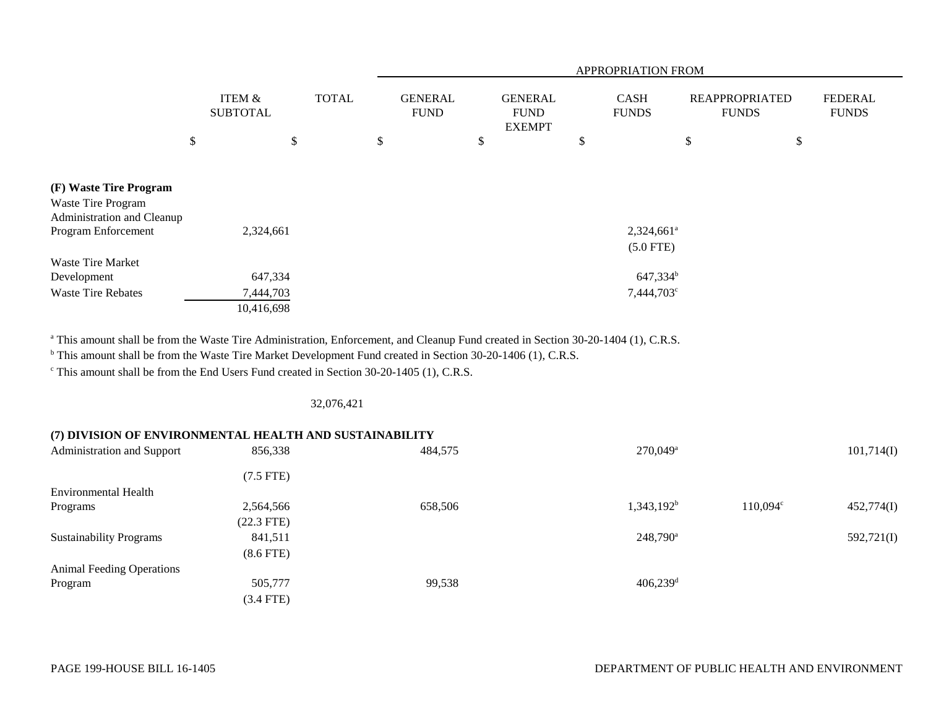|                                                  |                                      |    |  |                               |                                                | APPROPRIATION FROM          |                                       |                                |
|--------------------------------------------------|--------------------------------------|----|--|-------------------------------|------------------------------------------------|-----------------------------|---------------------------------------|--------------------------------|
|                                                  | <b>ITEM &amp;</b><br><b>SUBTOTAL</b> |    |  | <b>GENERAL</b><br><b>FUND</b> | <b>GENERAL</b><br><b>FUND</b><br><b>EXEMPT</b> | <b>CASH</b><br><b>FUNDS</b> | <b>REAPPROPRIATED</b><br><b>FUNDS</b> | <b>FEDERAL</b><br><b>FUNDS</b> |
|                                                  | \$                                   | \$ |  | \$                            | \$                                             | \$                          | \$<br>\$                              |                                |
|                                                  |                                      |    |  |                               |                                                |                             |                                       |                                |
| (F) Waste Tire Program                           |                                      |    |  |                               |                                                |                             |                                       |                                |
| Waste Tire Program<br>Administration and Cleanup |                                      |    |  |                               |                                                |                             |                                       |                                |
| Program Enforcement                              | 2,324,661                            |    |  |                               |                                                | $2,324,661^{\circ}$         |                                       |                                |
|                                                  |                                      |    |  |                               |                                                | $(5.0$ FTE)                 |                                       |                                |
| Waste Tire Market                                |                                      |    |  |                               |                                                |                             |                                       |                                |
| Development                                      | 647,334                              |    |  |                               |                                                | $647,334^b$                 |                                       |                                |
| <b>Waste Tire Rebates</b>                        | 7,444,703                            |    |  |                               |                                                | $7,444,703^{\circ}$         |                                       |                                |
|                                                  | 10,416,698                           |    |  |                               |                                                |                             |                                       |                                |

<sup>a</sup> This amount shall be from the Waste Tire Administration, Enforcement, and Cleanup Fund created in Section 30-20-1404 (1), C.R.S.

<sup>b</sup> This amount shall be from the Waste Tire Market Development Fund created in Section 30-20-1406 (1), C.R.S.

c This amount shall be from the End Users Fund created in Section 30-20-1405 (1), C.R.S.

# 32,076,421

# **(7) DIVISION OF ENVIRONMENTAL HEALTH AND SUSTAINABILITY**

| Administration and Support       | 856,338        | 484,575 | $270,049$ <sup>a</sup> |          | 101,714(I) |
|----------------------------------|----------------|---------|------------------------|----------|------------|
|                                  | $(7.5$ FTE)    |         |                        |          |            |
| Environmental Health             |                |         |                        |          |            |
| Programs                         | 2,564,566      | 658,506 | $1,343,192^b$          | 110,094° | 452,774(I) |
|                                  | $(22.3$ FTE)   |         |                        |          |            |
| <b>Sustainability Programs</b>   | 841,511        |         | $248,790^a$            |          | 592,721(I) |
|                                  | $(8.6$ FTE $)$ |         |                        |          |            |
| <b>Animal Feeding Operations</b> |                |         |                        |          |            |
| Program                          | 505,777        | 99,538  | $406,239$ <sup>d</sup> |          |            |
|                                  | $(3.4$ FTE)    |         |                        |          |            |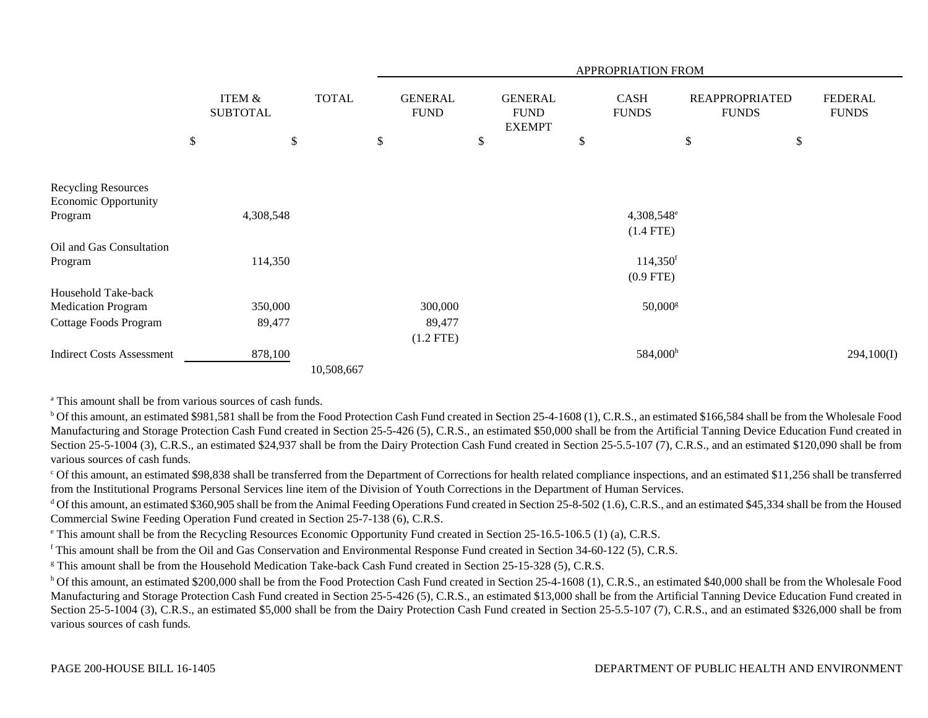|                                                           |      |                                      |              |                               |                                                | <b>APPROPRIATION FROM</b>   |                                       |                                |
|-----------------------------------------------------------|------|--------------------------------------|--------------|-------------------------------|------------------------------------------------|-----------------------------|---------------------------------------|--------------------------------|
|                                                           |      | <b>ITEM &amp;</b><br><b>SUBTOTAL</b> | <b>TOTAL</b> | <b>GENERAL</b><br><b>FUND</b> | <b>GENERAL</b><br><b>FUND</b><br><b>EXEMPT</b> | <b>CASH</b><br><b>FUNDS</b> | <b>REAPPROPRIATED</b><br><b>FUNDS</b> | <b>FEDERAL</b><br><b>FUNDS</b> |
|                                                           | $\$$ | \$                                   |              | \$                            | \$                                             | \$                          | \$<br>\$                              |                                |
|                                                           |      |                                      |              |                               |                                                |                             |                                       |                                |
| <b>Recycling Resources</b><br><b>Economic Opportunity</b> |      |                                      |              |                               |                                                |                             |                                       |                                |
| Program                                                   |      | 4,308,548                            |              |                               |                                                | 4,308,548 <sup>e</sup>      |                                       |                                |
|                                                           |      |                                      |              |                               |                                                | $(1.4$ FTE)                 |                                       |                                |
| Oil and Gas Consultation                                  |      |                                      |              |                               |                                                |                             |                                       |                                |
| Program                                                   |      | 114,350                              |              |                               |                                                | $114,350$ <sup>f</sup>      |                                       |                                |
|                                                           |      |                                      |              |                               |                                                | $(0.9$ FTE)                 |                                       |                                |
| Household Take-back                                       |      |                                      |              |                               |                                                |                             |                                       |                                |
| <b>Medication Program</b>                                 |      | 350,000                              |              | 300,000                       |                                                | $50,000$ <sup>g</sup>       |                                       |                                |
| Cottage Foods Program                                     |      | 89,477                               |              | 89,477                        |                                                |                             |                                       |                                |
|                                                           |      |                                      |              | $(1.2$ FTE)                   |                                                |                             |                                       |                                |
| <b>Indirect Costs Assessment</b>                          |      | 878,100                              |              |                               |                                                | 584,000h                    |                                       | 294,100(I)                     |
|                                                           |      |                                      | 10,508,667   |                               |                                                |                             |                                       |                                |

<sup>a</sup> This amount shall be from various sources of cash funds.

<sup>b</sup> Of this amount, an estimated \$981,581 shall be from the Food Protection Cash Fund created in Section 25-4-1608 (1), C.R.S., an estimated \$166,584 shall be from the Wholesale Food Manufacturing and Storage Protection Cash Fund created in Section 25-5-426 (5), C.R.S., an estimated \$50,000 shall be from the Artificial Tanning Device Education Fund created in Section 25-5-1004 (3), C.R.S., an estimated \$24,937 shall be from the Dairy Protection Cash Fund created in Section 25-5.5-107 (7), C.R.S., and an estimated \$120,090 shall be from various sources of cash funds.

<sup>c</sup> Of this amount, an estimated \$98,838 shall be transferred from the Department of Corrections for health related compliance inspections, and an estimated \$11,256 shall be transferred from the Institutional Programs Personal Services line item of the Division of Youth Corrections in the Department of Human Services.

<sup>d</sup> Of this amount, an estimated \$360,905 shall be from the Animal Feeding Operations Fund created in Section 25-8-502 (1.6), C.R.S., and an estimated \$45,334 shall be from the Housed Commercial Swine Feeding Operation Fund created in Section 25-7-138 (6), C.R.S.

e This amount shall be from the Recycling Resources Economic Opportunity Fund created in Section 25-16.5-106.5 (1) (a), C.R.S.

f This amount shall be from the Oil and Gas Conservation and Environmental Response Fund created in Section 34-60-122 (5), C.R.S.

<sup>g</sup> This amount shall be from the Household Medication Take-back Cash Fund created in Section 25-15-328 (5), C.R.S.

<sup>h</sup> Of this amount, an estimated \$200,000 shall be from the Food Protection Cash Fund created in Section 25-4-1608 (1), C.R.S., an estimated \$40,000 shall be from the Wholesale Food Manufacturing and Storage Protection Cash Fund created in Section 25-5-426 (5), C.R.S., an estimated \$13,000 shall be from the Artificial Tanning Device Education Fund created in Section 25-5-1004 (3), C.R.S., an estimated \$5,000 shall be from the Dairy Protection Cash Fund created in Section 25-5.5-107 (7), C.R.S., and an estimated \$326,000 shall be from various sources of cash funds.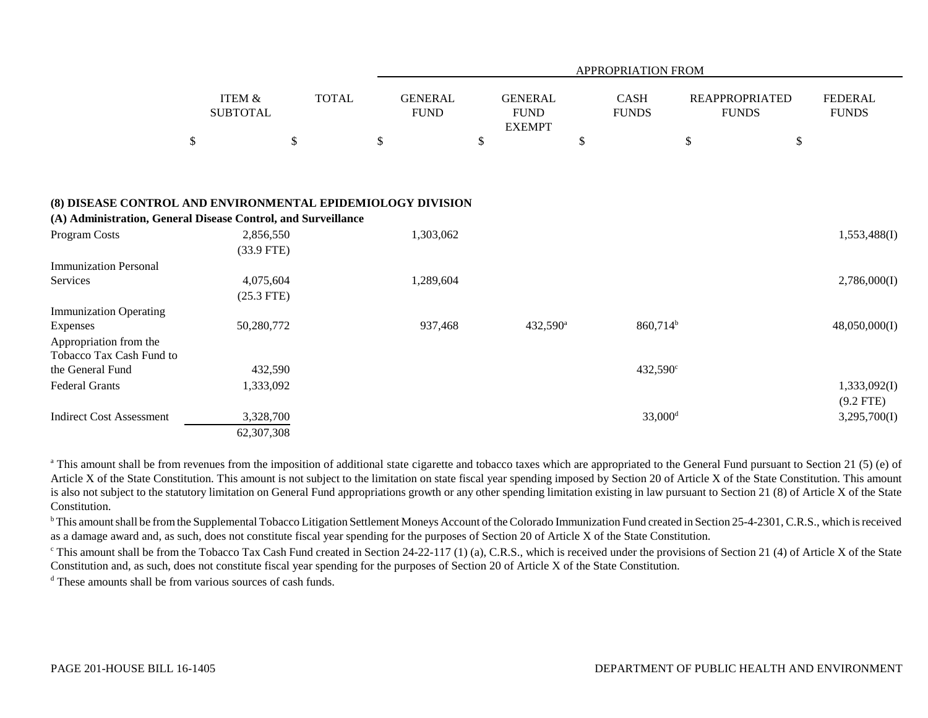|                                                                                                                              |                                      |              |                               | APPROPRIATION FROM |                                                |    |                             |    |                                       |                                |  |  |
|------------------------------------------------------------------------------------------------------------------------------|--------------------------------------|--------------|-------------------------------|--------------------|------------------------------------------------|----|-----------------------------|----|---------------------------------------|--------------------------------|--|--|
|                                                                                                                              | <b>ITEM &amp;</b><br><b>SUBTOTAL</b> | <b>TOTAL</b> | <b>GENERAL</b><br><b>FUND</b> |                    | <b>GENERAL</b><br><b>FUND</b><br><b>EXEMPT</b> |    | <b>CASH</b><br><b>FUNDS</b> |    | <b>REAPPROPRIATED</b><br><b>FUNDS</b> | <b>FEDERAL</b><br><b>FUNDS</b> |  |  |
|                                                                                                                              | $\$$                                 | \$           | \$                            | \$                 |                                                | \$ |                             | \$ | \$                                    |                                |  |  |
|                                                                                                                              |                                      |              |                               |                    |                                                |    |                             |    |                                       |                                |  |  |
| (8) DISEASE CONTROL AND ENVIRONMENTAL EPIDEMIOLOGY DIVISION<br>(A) Administration, General Disease Control, and Surveillance |                                      |              |                               |                    |                                                |    |                             |    |                                       |                                |  |  |
| Program Costs                                                                                                                | 2,856,550<br>$(33.9$ FTE)            |              | 1,303,062                     |                    |                                                |    |                             |    |                                       | 1,553,488(I)                   |  |  |
| <b>Immunization Personal</b>                                                                                                 |                                      |              |                               |                    |                                                |    |                             |    |                                       |                                |  |  |
| Services                                                                                                                     | 4,075,604<br>$(25.3$ FTE)            |              | 1,289,604                     |                    |                                                |    |                             |    |                                       | 2,786,000(I)                   |  |  |
| <b>Immunization Operating</b>                                                                                                |                                      |              |                               |                    |                                                |    |                             |    |                                       |                                |  |  |
| Expenses<br>Appropriation from the<br>Tobacco Tax Cash Fund to                                                               | 50,280,772                           |              | 937,468                       |                    | 432,590 <sup>a</sup>                           |    | 860,714 <sup>b</sup>        |    |                                       | 48,050,000(I)                  |  |  |
| the General Fund                                                                                                             | 432,590                              |              |                               |                    |                                                |    | $432,590^{\circ}$           |    |                                       |                                |  |  |
| <b>Federal Grants</b>                                                                                                        | 1,333,092                            |              |                               |                    |                                                |    |                             |    |                                       | 1,333,092(I)<br>$(9.2$ FTE)    |  |  |
| <b>Indirect Cost Assessment</b>                                                                                              | 3,328,700                            |              |                               |                    |                                                |    | $33,000$ <sup>d</sup>       |    |                                       | 3,295,700(I)                   |  |  |
|                                                                                                                              | 62,307,308                           |              |                               |                    |                                                |    |                             |    |                                       |                                |  |  |

<sup>a</sup> This amount shall be from revenues from the imposition of additional state cigarette and tobacco taxes which are appropriated to the General Fund pursuant to Section 21 (5) (e) of Article X of the State Constitution. This amount is not subject to the limitation on state fiscal year spending imposed by Section 20 of Article X of the State Constitution. This amount is also not subject to the statutory limitation on General Fund appropriations growth or any other spending limitation existing in law pursuant to Section 21 (8) of Article X of the State Constitution.

<sup>b</sup> This amount shall be from the Supplemental Tobacco Litigation Settlement Moneys Account of the Colorado Immunization Fund created in Section 25-4-2301, C.R.S., which is received as a damage award and, as such, does not constitute fiscal year spending for the purposes of Section 20 of Article X of the State Constitution.

<sup>c</sup> This amount shall be from the Tobacco Tax Cash Fund created in Section 24-22-117 (1) (a), C.R.S., which is received under the provisions of Section 21 (4) of Article X of the State Constitution and, as such, does not constitute fiscal year spending for the purposes of Section 20 of Article X of the State Constitution.

<sup>d</sup> These amounts shall be from various sources of cash funds.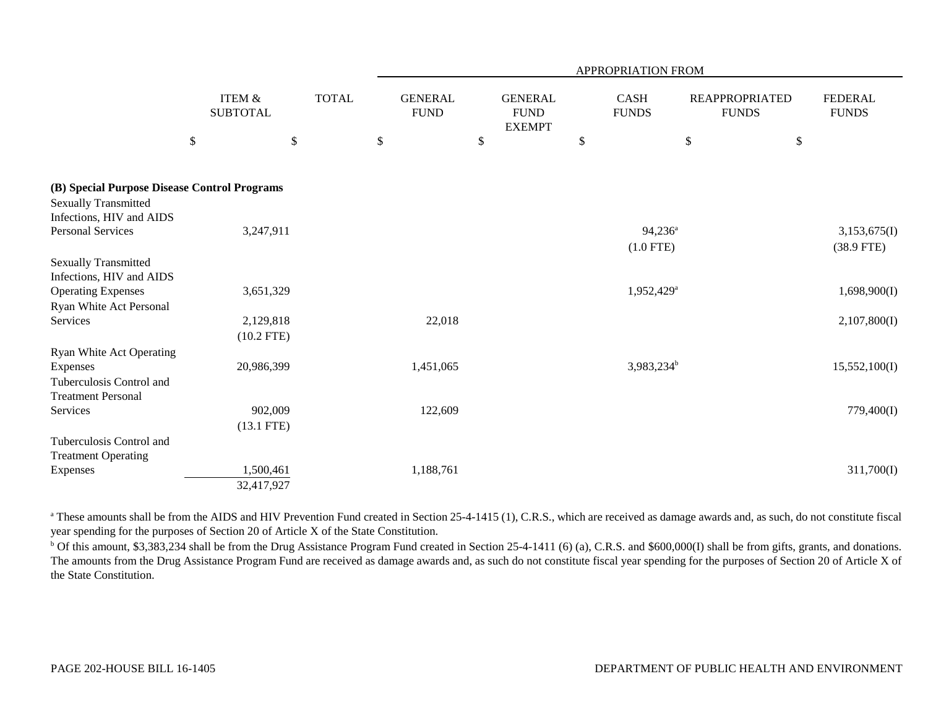|                                                                             |                                              |                                           | <b>APPROPRIATION FROM</b>           |                                                      |                                             |                                               |                                        |  |  |  |  |  |
|-----------------------------------------------------------------------------|----------------------------------------------|-------------------------------------------|-------------------------------------|------------------------------------------------------|---------------------------------------------|-----------------------------------------------|----------------------------------------|--|--|--|--|--|
|                                                                             | <b>ITEM &amp;</b><br><b>SUBTOTAL</b><br>$\$$ | <b>TOTAL</b><br>$\boldsymbol{\mathsf{S}}$ | <b>GENERAL</b><br><b>FUND</b><br>\$ | <b>GENERAL</b><br><b>FUND</b><br><b>EXEMPT</b><br>\$ | <b>CASH</b><br><b>FUNDS</b><br>$\mathbb{S}$ | <b>REAPPROPRIATED</b><br><b>FUNDS</b><br>$\$$ | <b>FEDERAL</b><br><b>FUNDS</b><br>$\$$ |  |  |  |  |  |
| (B) Special Purpose Disease Control Programs<br><b>Sexually Transmitted</b> |                                              |                                           |                                     |                                                      |                                             |                                               |                                        |  |  |  |  |  |
| Infections, HIV and AIDS                                                    |                                              |                                           |                                     |                                                      |                                             |                                               |                                        |  |  |  |  |  |
| <b>Personal Services</b>                                                    | 3,247,911                                    |                                           |                                     |                                                      | $94,236^a$                                  |                                               | 3,153,675(I)                           |  |  |  |  |  |
|                                                                             |                                              |                                           |                                     |                                                      | $(1.0$ FTE)                                 |                                               | $(38.9$ FTE)                           |  |  |  |  |  |
| <b>Sexually Transmitted</b><br>Infections, HIV and AIDS                     |                                              |                                           |                                     |                                                      |                                             |                                               |                                        |  |  |  |  |  |
| <b>Operating Expenses</b>                                                   | 3,651,329                                    |                                           |                                     |                                                      | 1,952,429 <sup>a</sup>                      |                                               | 1,698,900(I)                           |  |  |  |  |  |
| Ryan White Act Personal                                                     |                                              |                                           |                                     |                                                      |                                             |                                               |                                        |  |  |  |  |  |
| Services                                                                    | 2,129,818                                    |                                           | 22,018                              |                                                      |                                             |                                               | 2,107,800(I)                           |  |  |  |  |  |
|                                                                             | $(10.2$ FTE)                                 |                                           |                                     |                                                      |                                             |                                               |                                        |  |  |  |  |  |
| Ryan White Act Operating                                                    |                                              |                                           |                                     |                                                      |                                             |                                               |                                        |  |  |  |  |  |
| Expenses                                                                    | 20,986,399                                   |                                           | 1,451,065                           |                                                      | 3,983,234 <sup>b</sup>                      |                                               | 15,552,100(I)                          |  |  |  |  |  |
| Tuberculosis Control and                                                    |                                              |                                           |                                     |                                                      |                                             |                                               |                                        |  |  |  |  |  |
| <b>Treatment Personal</b>                                                   |                                              |                                           |                                     |                                                      |                                             |                                               |                                        |  |  |  |  |  |
| Services                                                                    | 902,009                                      |                                           | 122,609                             |                                                      |                                             |                                               | 779,400(I)                             |  |  |  |  |  |
|                                                                             | $(13.1$ FTE)                                 |                                           |                                     |                                                      |                                             |                                               |                                        |  |  |  |  |  |
| Tuberculosis Control and<br><b>Treatment Operating</b>                      |                                              |                                           |                                     |                                                      |                                             |                                               |                                        |  |  |  |  |  |
| Expenses                                                                    | 1,500,461                                    |                                           | 1,188,761                           |                                                      |                                             |                                               | 311,700(I)                             |  |  |  |  |  |
|                                                                             | 32,417,927                                   |                                           |                                     |                                                      |                                             |                                               |                                        |  |  |  |  |  |

<sup>a</sup> These amounts shall be from the AIDS and HIV Prevention Fund created in Section 25-4-1415 (1), C.R.S., which are received as damage awards and, as such, do not constitute fiscal year spending for the purposes of Section 20 of Article X of the State Constitution.

<sup>b</sup> Of this amount, \$3,383,234 shall be from the Drug Assistance Program Fund created in Section 25-4-1411 (6) (a), C.R.S. and \$600,000(I) shall be from gifts, grants, and donations. The amounts from the Drug Assistance Program Fund are received as damage awards and, as such do not constitute fiscal year spending for the purposes of Section 20 of Article X of the State Constitution.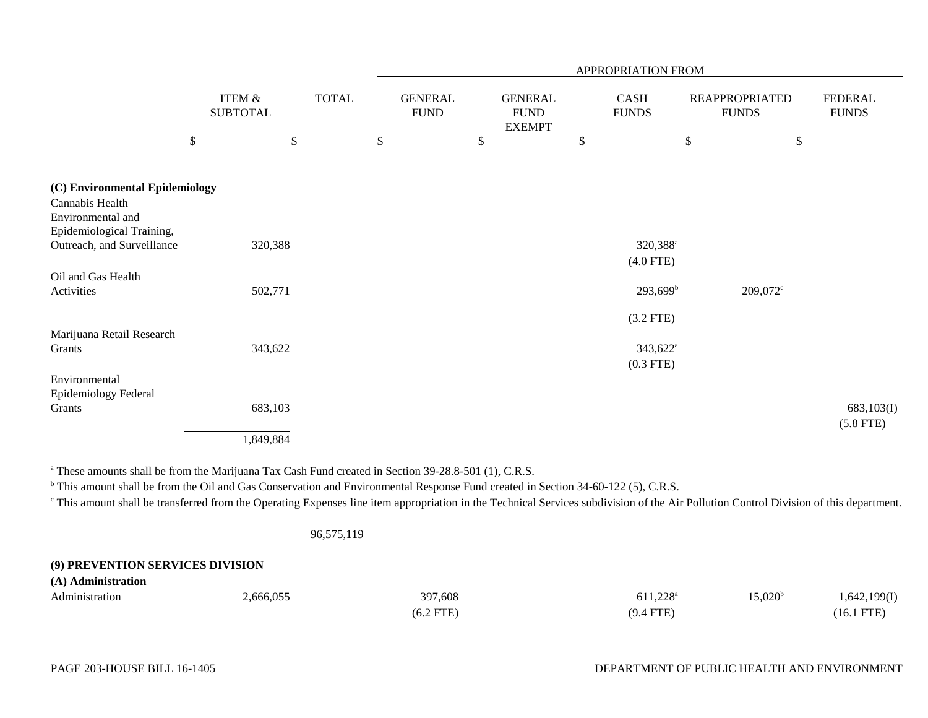|                                                                                                                                   |                                      |      |              |                               |                                                | APPROPRIATION FROM                        |      |                                       |                           |
|-----------------------------------------------------------------------------------------------------------------------------------|--------------------------------------|------|--------------|-------------------------------|------------------------------------------------|-------------------------------------------|------|---------------------------------------|---------------------------|
|                                                                                                                                   | <b>ITEM &amp;</b><br><b>SUBTOTAL</b> |      | <b>TOTAL</b> | <b>GENERAL</b><br><b>FUND</b> | <b>GENERAL</b><br><b>FUND</b><br><b>EXEMPT</b> | CASH<br><b>FUNDS</b>                      |      | <b>REAPPROPRIATED</b><br><b>FUNDS</b> | FEDERAL<br><b>FUNDS</b>   |
|                                                                                                                                   | $\$$                                 | $\$$ |              | \$                            | \$                                             | \$                                        | $\$$ | $\$$                                  |                           |
| (C) Environmental Epidemiology<br>Cannabis Health<br>Environmental and<br>Epidemiological Training,<br>Outreach, and Surveillance | 320,388                              |      |              |                               |                                                | 320,388 <sup>a</sup>                      |      |                                       |                           |
| Oil and Gas Health<br>Activities                                                                                                  | 502,771                              |      |              |                               |                                                | $(4.0$ FTE)<br>$293,699^b$<br>$(3.2$ FTE) |      | 209,072 <sup>c</sup>                  |                           |
| Marijuana Retail Research<br>Grants<br>Environmental                                                                              | 343,622                              |      |              |                               |                                                | $343,622^{\rm a}$<br>$(0.3$ FTE)          |      |                                       |                           |
| Epidemiology Federal<br>Grants                                                                                                    | 683,103<br>1,849,884                 |      |              |                               |                                                |                                           |      |                                       | 683,103(I)<br>$(5.8$ FTE) |

<sup>a</sup> These amounts shall be from the Marijuana Tax Cash Fund created in Section 39-28.8-501 (1), C.R.S.

<sup>b</sup> This amount shall be from the Oil and Gas Conservation and Environmental Response Fund created in Section 34-60-122 (5), C.R.S.

c This amount shall be transferred from the Operating Expenses line item appropriation in the Technical Services subdivision of the Air Pollution Control Division of this department.

96,575,119

# **(9) PREVENTION SERVICES DIVISION**

| (A) Administration |           |             |                   |                         |              |
|--------------------|-----------|-------------|-------------------|-------------------------|--------------|
| Administration     | 2,666,055 | 397,608     | $611,228^{\rm a}$ | $15{,}020^{\mathrm{t}}$ | 1,642,199(1) |
|                    |           | $(6.2$ FTE) | $(9.4$ FTE)       |                         | 16.1 FTE     |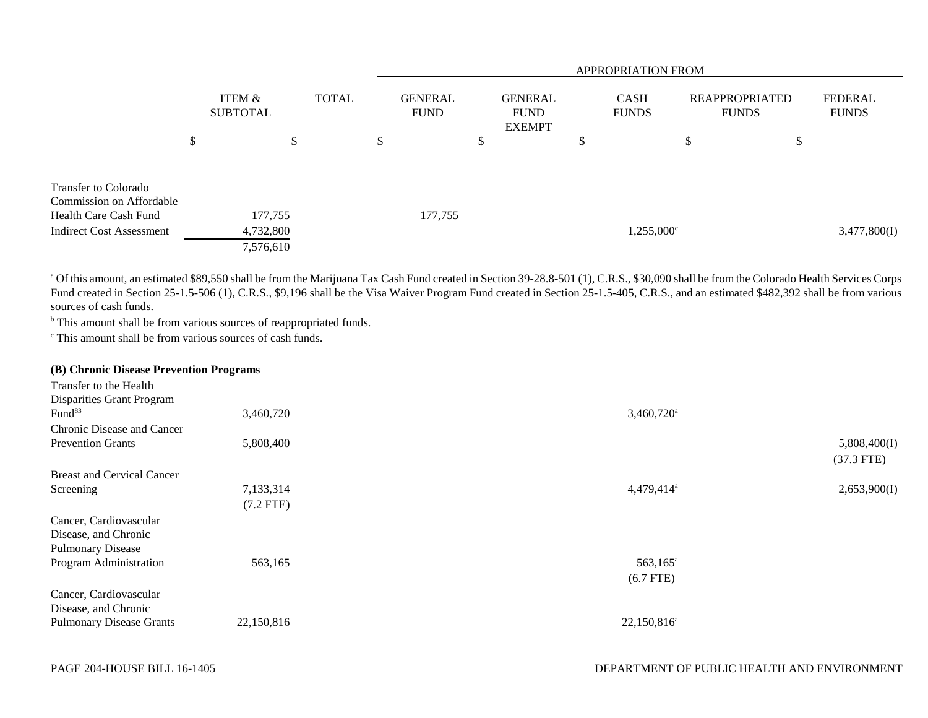|                                                          |                                   |    |  | <b>APPROPRIATION FROM</b>     |    |                                                |   |                             |                                       |    |                                |  |  |
|----------------------------------------------------------|-----------------------------------|----|--|-------------------------------|----|------------------------------------------------|---|-----------------------------|---------------------------------------|----|--------------------------------|--|--|
|                                                          | ITEM &<br><b>SUBTOTAL</b>         |    |  | <b>GENERAL</b><br><b>FUND</b> |    | <b>GENERAL</b><br><b>FUND</b><br><b>EXEMPT</b> |   | <b>CASH</b><br><b>FUNDS</b> | <b>REAPPROPRIATED</b><br><b>FUNDS</b> |    | <b>FEDERAL</b><br><b>FUNDS</b> |  |  |
|                                                          | \$                                | \$ |  | \$                            | \$ |                                                | ◡ |                             | \$                                    | \$ |                                |  |  |
| <b>Transfer to Colorado</b><br>Commission on Affordable  |                                   |    |  |                               |    |                                                |   |                             |                                       |    |                                |  |  |
| Health Care Cash Fund<br><b>Indirect Cost Assessment</b> | 177,755<br>4,732,800<br>7,576,610 |    |  | 177,755                       |    |                                                |   | $1,255,000^{\circ}$         |                                       |    | 3,477,800(I)                   |  |  |

<sup>a</sup> Of this amount, an estimated \$89,550 shall be from the Marijuana Tax Cash Fund created in Section 39-28.8-501 (1), C.R.S., \$30,090 shall be from the Colorado Health Services Corps Fund created in Section 25-1.5-506 (1), C.R.S., \$9,196 shall be the Visa Waiver Program Fund created in Section 25-1.5-405, C.R.S., and an estimated \$482,392 shall be from various sources of cash funds.

<sup>b</sup> This amount shall be from various sources of reappropriated funds.

c This amount shall be from various sources of cash funds.

|  |  |  | (B) Chronic Disease Prevention Programs |  |
|--|--|--|-----------------------------------------|--|
|--|--|--|-----------------------------------------|--|

| Transfer to the Health            |             |                          |              |
|-----------------------------------|-------------|--------------------------|--------------|
| Disparities Grant Program         |             |                          |              |
| Fund <sup>83</sup>                | 3,460,720   | $3,460,720$ <sup>a</sup> |              |
| Chronic Disease and Cancer        |             |                          |              |
| <b>Prevention Grants</b>          | 5,808,400   |                          | 5,808,400(I) |
|                                   |             |                          | $(37.3$ FTE) |
| <b>Breast and Cervical Cancer</b> |             |                          |              |
| Screening                         | 7,133,314   | 4,479,414 <sup>a</sup>   | 2,653,900(I) |
|                                   | $(7.2$ FTE) |                          |              |
| Cancer, Cardiovascular            |             |                          |              |
| Disease, and Chronic              |             |                          |              |
| <b>Pulmonary Disease</b>          |             |                          |              |
| Program Administration            | 563,165     | 563,165 <sup>a</sup>     |              |
|                                   |             | $(6.7$ FTE)              |              |
| Cancer, Cardiovascular            |             |                          |              |
| Disease, and Chronic              |             |                          |              |
| <b>Pulmonary Disease Grants</b>   | 22,150,816  | $22,150,816^a$           |              |
|                                   |             |                          |              |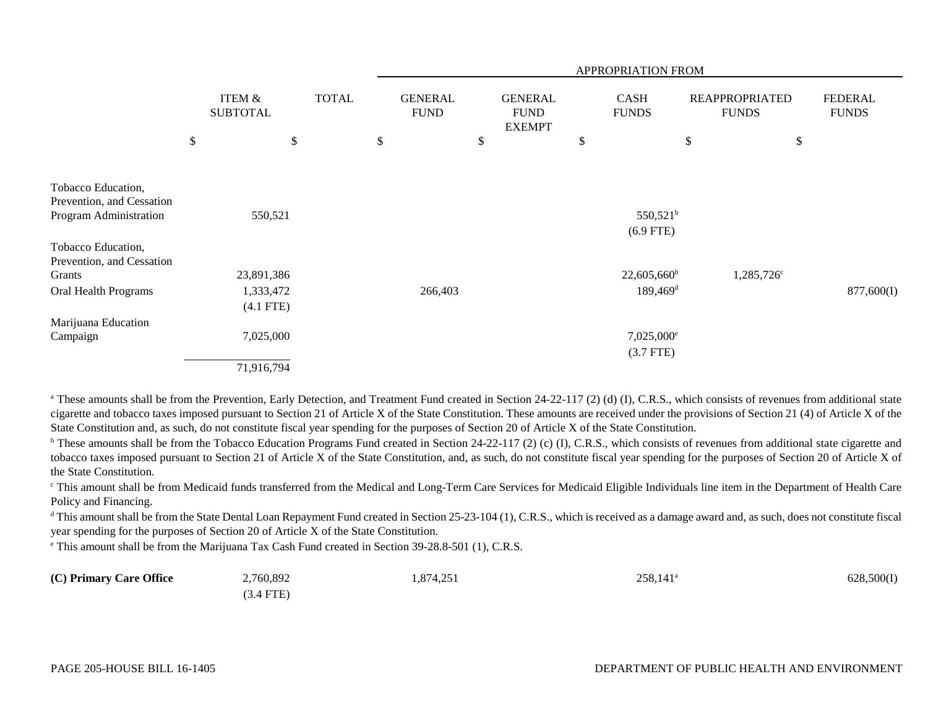|                                                 |      |                                      |              | APPROPRIATION FROM            |    |                                                |    |                                     |    |                                       |                                |  |  |
|-------------------------------------------------|------|--------------------------------------|--------------|-------------------------------|----|------------------------------------------------|----|-------------------------------------|----|---------------------------------------|--------------------------------|--|--|
|                                                 |      | <b>ITEM &amp;</b><br><b>SUBTOTAL</b> | <b>TOTAL</b> | <b>GENERAL</b><br><b>FUND</b> |    | <b>GENERAL</b><br><b>FUND</b><br><b>EXEMPT</b> |    | <b>CASH</b><br><b>FUNDS</b>         |    | <b>REAPPROPRIATED</b><br><b>FUNDS</b> | <b>FEDERAL</b><br><b>FUNDS</b> |  |  |
|                                                 | $\$$ | \$                                   |              | \$                            | \$ |                                                | \$ |                                     | \$ | \$                                    |                                |  |  |
|                                                 |      |                                      |              |                               |    |                                                |    |                                     |    |                                       |                                |  |  |
| Tobacco Education,<br>Prevention, and Cessation |      |                                      |              |                               |    |                                                |    |                                     |    |                                       |                                |  |  |
| Program Administration                          |      | 550,521                              |              |                               |    |                                                |    | 550,521 <sup>b</sup><br>$(6.9$ FTE) |    |                                       |                                |  |  |
| Tobacco Education,<br>Prevention, and Cessation |      |                                      |              |                               |    |                                                |    |                                     |    |                                       |                                |  |  |
| Grants                                          |      | 23,891,386                           |              |                               |    |                                                |    | $22,605,660^{\circ}$                |    | 1,285,726 <sup>c</sup>                |                                |  |  |
| Oral Health Programs                            |      | 1,333,472                            |              | 266,403                       |    |                                                |    | $189,469$ <sup>d</sup>              |    |                                       | 877,600(I)                     |  |  |
|                                                 |      | $(4.1$ FTE)                          |              |                               |    |                                                |    |                                     |    |                                       |                                |  |  |
| Marijuana Education                             |      |                                      |              |                               |    |                                                |    |                                     |    |                                       |                                |  |  |
| Campaign                                        |      | 7,025,000                            |              |                               |    |                                                |    | $7,025,000^{\circ}$<br>$(3.7$ FTE)  |    |                                       |                                |  |  |
|                                                 |      | 71,916,794                           |              |                               |    |                                                |    |                                     |    |                                       |                                |  |  |

<sup>a</sup> These amounts shall be from the Prevention, Early Detection, and Treatment Fund created in Section 24-22-117 (2) (d) (I), C.R.S., which consists of revenues from additional state cigarette and tobacco taxes imposed pursuant to Section 21 of Article X of the State Constitution. These amounts are received under the provisions of Section 21 (4) of Article X of the State Constitution and, as such, do not constitute fiscal year spending for the purposes of Section 20 of Article X of the State Constitution.

<sup>b</sup> These amounts shall be from the Tobacco Education Programs Fund created in Section 24-22-117 (2) (c) (I), C.R.S., which consists of revenues from additional state cigarette and tobacco taxes imposed pursuant to Section 21 of Article X of the State Constitution, and, as such, do not constitute fiscal year spending for the purposes of Section 20 of Article X of the State Constitution.

c This amount shall be from Medicaid funds transferred from the Medical and Long-Term Care Services for Medicaid Eligible Individuals line item in the Department of Health Care Policy and Financing.

<sup>d</sup> This amount shall be from the State Dental Loan Repayment Fund created in Section 25-23-104 (1), C.R.S., which is received as a damage award and, as such, does not constitute fiscal year spending for the purposes of Section 20 of Article X of the State Constitution.

e This amount shall be from the Marijuana Tax Cash Fund created in Section 39-28.8-501 (1), C.R.S.

| (C) Primary Care Office | 2,760,892 | 1,874,251 | $258,141^{\circ}$ | 628,500(I) |
|-------------------------|-----------|-----------|-------------------|------------|
|                         | (3.4 FTE) |           |                   |            |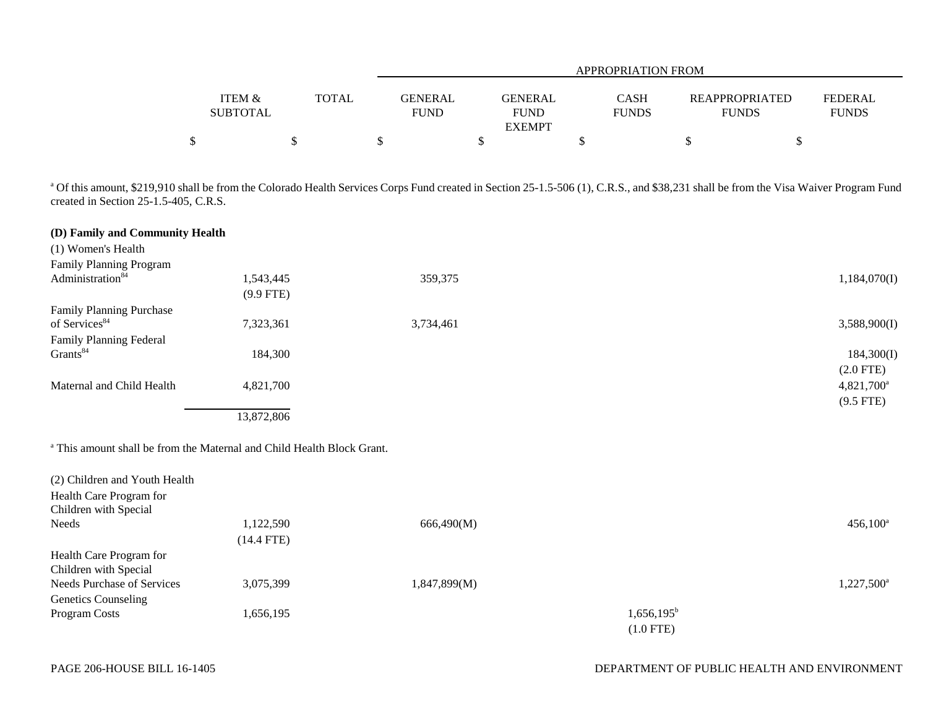|                 |       |                | APPROPRIATION FROM           |              |                       |                |  |  |  |  |  |
|-----------------|-------|----------------|------------------------------|--------------|-----------------------|----------------|--|--|--|--|--|
|                 |       |                |                              |              |                       |                |  |  |  |  |  |
| ITEM &          | TOTAL | <b>GENERAL</b> | <b>GENERAL</b>               | <b>CASH</b>  | <b>REAPPROPRIATED</b> | <b>FEDERAL</b> |  |  |  |  |  |
| <b>SUBTOTAL</b> |       | <b>FUND</b>    | <b>FUND</b><br><b>EXEMPT</b> | <b>FUNDS</b> | <b>FUNDS</b>          | <b>FUNDS</b>   |  |  |  |  |  |
| Φ<br>◡          |       |                |                              |              |                       |                |  |  |  |  |  |

<sup>a</sup> Of this amount, \$219,910 shall be from the Colorado Health Services Corps Fund created in Section 25-1.5-506 (1), C.R.S., and \$38,231 shall be from the Visa Waiver Program Fund created in Section 25-1.5-405, C.R.S.

| (D) Family and Community Health                                                   |              |              |               |                        |
|-----------------------------------------------------------------------------------|--------------|--------------|---------------|------------------------|
| (1) Women's Health                                                                |              |              |               |                        |
| Family Planning Program                                                           |              |              |               |                        |
| Administration <sup>84</sup>                                                      | 1,543,445    | 359,375      |               | 1,184,070(I)           |
|                                                                                   | $(9.9$ FTE)  |              |               |                        |
| <b>Family Planning Purchase</b>                                                   |              |              |               |                        |
| of Services <sup>84</sup>                                                         | 7,323,361    | 3,734,461    |               | 3,588,900(I)           |
| Family Planning Federal                                                           |              |              |               |                        |
| Grants <sup>84</sup>                                                              | 184,300      |              |               | 184,300(I)             |
|                                                                                   |              |              |               | $(2.0$ FTE)            |
| Maternal and Child Health                                                         | 4,821,700    |              |               | $4,821,700^a$          |
|                                                                                   |              |              |               | $(9.5$ FTE)            |
|                                                                                   | 13,872,806   |              |               |                        |
|                                                                                   |              |              |               |                        |
| <sup>a</sup> This amount shall be from the Maternal and Child Health Block Grant. |              |              |               |                        |
| (2) Children and Youth Health                                                     |              |              |               |                        |
| Health Care Program for                                                           |              |              |               |                        |
| Children with Special                                                             |              |              |               |                        |
| Needs                                                                             | 1,122,590    | 666,490(M)   |               | $456,100^a$            |
|                                                                                   | $(14.4$ FTE) |              |               |                        |
| Health Care Program for                                                           |              |              |               |                        |
| Children with Special                                                             |              |              |               |                        |
| <b>Needs Purchase of Services</b>                                                 | 3,075,399    | 1,847,899(M) |               | 1,227,500 <sup>a</sup> |
| <b>Genetics Counseling</b>                                                        |              |              |               |                        |
| Program Costs                                                                     | 1,656,195    |              | $1,656,195^b$ |                        |

(1.0 FTE)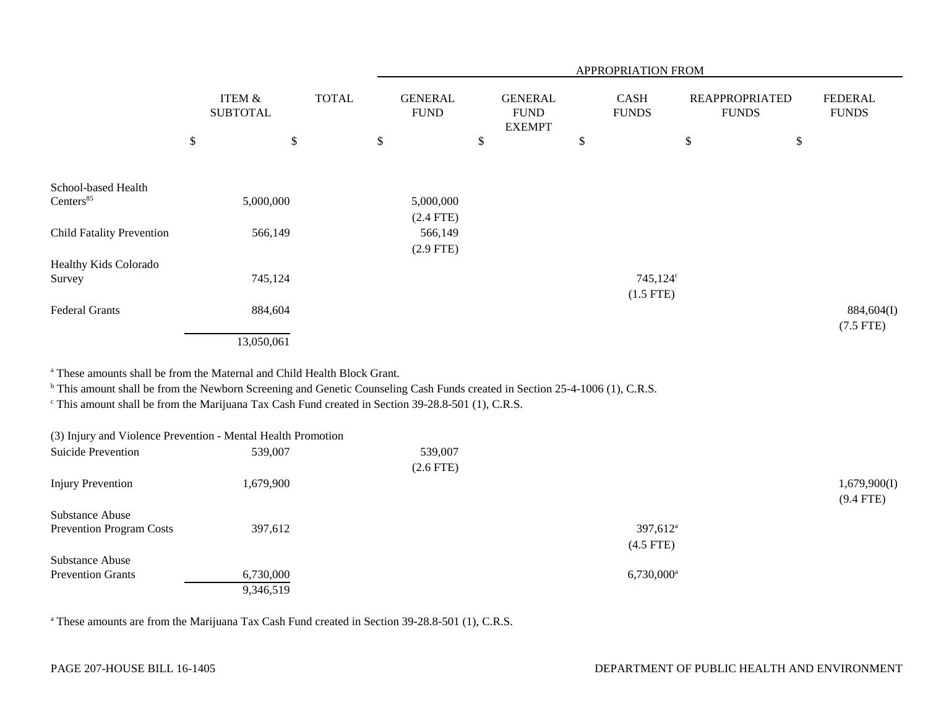|                                                                                                                                                                                                                                                          |                                      |              | <b>APPROPRIATION FROM</b>     |                                                |                                     |                                       |                                |  |  |  |
|----------------------------------------------------------------------------------------------------------------------------------------------------------------------------------------------------------------------------------------------------------|--------------------------------------|--------------|-------------------------------|------------------------------------------------|-------------------------------------|---------------------------------------|--------------------------------|--|--|--|
|                                                                                                                                                                                                                                                          | <b>ITEM &amp;</b><br><b>SUBTOTAL</b> | <b>TOTAL</b> | <b>GENERAL</b><br><b>FUND</b> | <b>GENERAL</b><br><b>FUND</b><br><b>EXEMPT</b> | CASH<br><b>FUNDS</b>                | <b>REAPPROPRIATED</b><br><b>FUNDS</b> | <b>FEDERAL</b><br><b>FUNDS</b> |  |  |  |
| $\$$                                                                                                                                                                                                                                                     | $\mathbb{S}$                         |              | \$                            | \$                                             | \$                                  | $\$$                                  | \$                             |  |  |  |
| School-based Health                                                                                                                                                                                                                                      |                                      |              |                               |                                                |                                     |                                       |                                |  |  |  |
| Centers <sup>85</sup>                                                                                                                                                                                                                                    | 5,000,000                            |              | 5,000,000<br>$(2.4$ FTE)      |                                                |                                     |                                       |                                |  |  |  |
| <b>Child Fatality Prevention</b>                                                                                                                                                                                                                         | 566,149                              |              | 566,149<br>$(2.9$ FTE)        |                                                |                                     |                                       |                                |  |  |  |
| Healthy Kids Colorado                                                                                                                                                                                                                                    | 745,124                              |              |                               |                                                | 745,124 <sup>c</sup>                |                                       |                                |  |  |  |
| Survey                                                                                                                                                                                                                                                   |                                      |              |                               |                                                | $(1.5$ FTE)                         |                                       |                                |  |  |  |
| <b>Federal Grants</b>                                                                                                                                                                                                                                    | 884,604                              |              |                               |                                                |                                     |                                       | 884,604(I)<br>$(7.5$ FTE)      |  |  |  |
|                                                                                                                                                                                                                                                          | 13,050,061                           |              |                               |                                                |                                     |                                       |                                |  |  |  |
| <sup>a</sup> These amounts shall be from the Maternal and Child Health Block Grant.                                                                                                                                                                      |                                      |              |                               |                                                |                                     |                                       |                                |  |  |  |
| <sup>b</sup> This amount shall be from the Newborn Screening and Genetic Counseling Cash Funds created in Section 25-4-1006 (1), C.R.S.<br><sup>c</sup> This amount shall be from the Marijuana Tax Cash Fund created in Section 39-28.8-501 (1), C.R.S. |                                      |              |                               |                                                |                                     |                                       |                                |  |  |  |
| (3) Injury and Violence Prevention - Mental Health Promotion                                                                                                                                                                                             |                                      |              |                               |                                                |                                     |                                       |                                |  |  |  |
| <b>Suicide Prevention</b>                                                                                                                                                                                                                                | 539,007                              |              | 539,007                       |                                                |                                     |                                       |                                |  |  |  |
| <b>Injury Prevention</b>                                                                                                                                                                                                                                 | 1,679,900                            |              | $(2.6$ FTE)                   |                                                |                                     |                                       | 1,679,900(I)<br>$(9.4$ FTE)    |  |  |  |
| <b>Substance Abuse</b>                                                                                                                                                                                                                                   |                                      |              |                               |                                                |                                     |                                       |                                |  |  |  |
| <b>Prevention Program Costs</b>                                                                                                                                                                                                                          | 397,612                              |              |                               |                                                | 397,612 <sup>a</sup><br>$(4.5$ FTE) |                                       |                                |  |  |  |
| <b>Substance Abuse</b>                                                                                                                                                                                                                                   |                                      |              |                               |                                                |                                     |                                       |                                |  |  |  |
| <b>Prevention Grants</b>                                                                                                                                                                                                                                 | 6,730,000<br>9,346,519               |              |                               |                                                | $6,730,000^a$                       |                                       |                                |  |  |  |

<sup>a</sup> These amounts are from the Marijuana Tax Cash Fund created in Section 39-28.8-501 (1), C.R.S.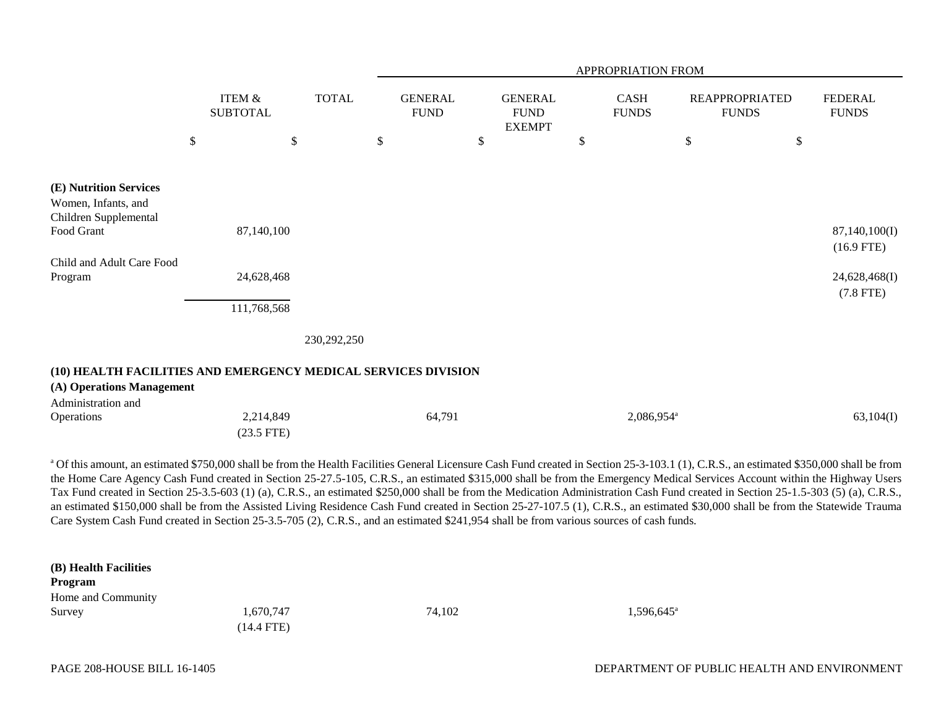|                                                                                             |                           |                                      |              | APPROPRIATION FROM            |      |                                                |    |                             |        |                                       |                                              |
|---------------------------------------------------------------------------------------------|---------------------------|--------------------------------------|--------------|-------------------------------|------|------------------------------------------------|----|-----------------------------|--------|---------------------------------------|----------------------------------------------|
|                                                                                             |                           | <b>ITEM &amp;</b><br><b>SUBTOTAL</b> | <b>TOTAL</b> | <b>GENERAL</b><br><b>FUND</b> |      | <b>GENERAL</b><br><b>FUND</b><br><b>EXEMPT</b> |    | <b>CASH</b><br><b>FUNDS</b> |        | <b>REAPPROPRIATED</b><br><b>FUNDS</b> | <b>FEDERAL</b><br><b>FUNDS</b>               |
|                                                                                             | $\boldsymbol{\mathsf{S}}$ |                                      | \$           | \$                            | $\$$ |                                                | \$ |                             | $\$\,$ | \$                                    |                                              |
| (E) Nutrition Services<br>Women, Infants, and<br>Children Supplemental                      |                           |                                      |              |                               |      |                                                |    |                             |        |                                       |                                              |
| Food Grant                                                                                  |                           | 87,140,100                           |              |                               |      |                                                |    |                             |        |                                       | 87,140,100(I)                                |
| Child and Adult Care Food<br>Program                                                        |                           | 24,628,468                           |              |                               |      |                                                |    |                             |        |                                       | $(16.9$ FTE)<br>24,628,468(I)<br>$(7.8$ FTE) |
|                                                                                             |                           | 111,768,568                          |              |                               |      |                                                |    |                             |        |                                       |                                              |
|                                                                                             |                           |                                      | 230,292,250  |                               |      |                                                |    |                             |        |                                       |                                              |
| (10) HEALTH FACILITIES AND EMERGENCY MEDICAL SERVICES DIVISION<br>(A) Operations Management |                           |                                      |              |                               |      |                                                |    |                             |        |                                       |                                              |
| Administration and<br>Operations                                                            |                           | 2,214,849<br>$(23.5$ FTE)            |              | 64,791                        |      |                                                |    | $2,086,954$ <sup>a</sup>    |        |                                       | 63,104(I)                                    |

<sup>a</sup> Of this amount, an estimated \$750,000 shall be from the Health Facilities General Licensure Cash Fund created in Section 25-3-103.1 (1), C.R.S., an estimated \$350,000 shall be from the Home Care Agency Cash Fund created in Section 25-27.5-105, C.R.S., an estimated \$315,000 shall be from the Emergency Medical Services Account within the Highway Users Tax Fund created in Section 25-3.5-603 (1) (a), C.R.S., an estimated \$250,000 shall be from the Medication Administration Cash Fund created in Section 25-1.5-303 (5) (a), C.R.S., an estimated \$150,000 shall be from the Assisted Living Residence Cash Fund created in Section 25-27-107.5 (1), C.R.S., an estimated \$30,000 shall be from the Statewide Trauma Care System Cash Fund created in Section 25-3.5-705 (2), C.R.S., and an estimated \$241,954 shall be from various sources of cash funds.

| (B) Health Facilities<br>Program<br>Home and Community |                           |        |                          |  |
|--------------------------------------------------------|---------------------------|--------|--------------------------|--|
| Survey                                                 | 1,670,747<br>$(14.4$ FTE) | 74,102 | $1,596,645$ <sup>a</sup> |  |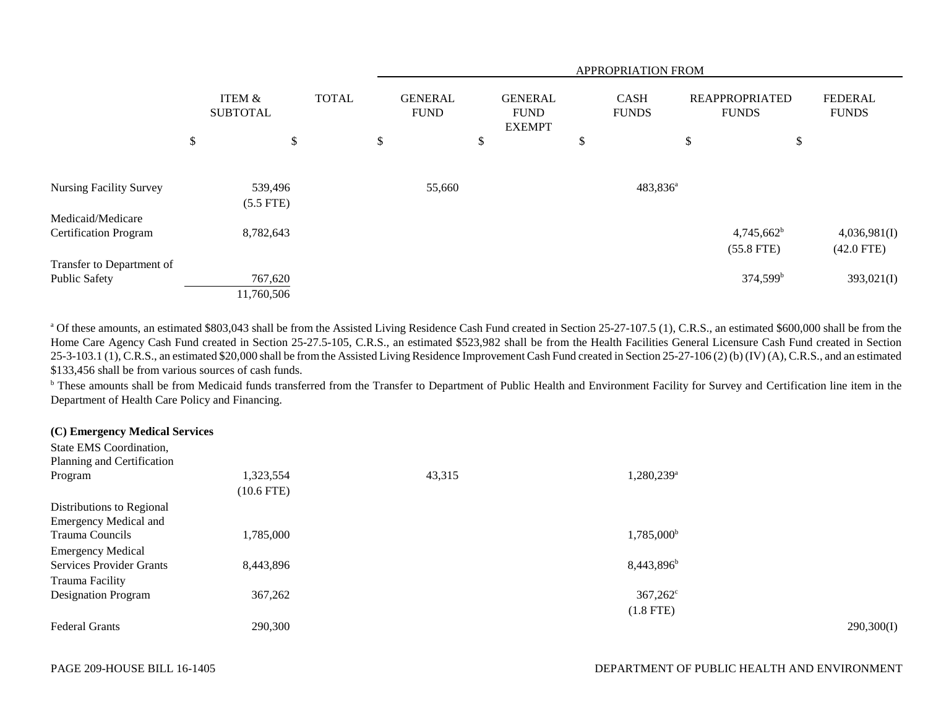|                                |                                      |                                               |    | APPROPRIATION FROM                             |                             |  |                                       |                      |                                |    |                              |
|--------------------------------|--------------------------------------|-----------------------------------------------|----|------------------------------------------------|-----------------------------|--|---------------------------------------|----------------------|--------------------------------|----|------------------------------|
|                                | <b>ITEM &amp;</b><br><b>SUBTOTAL</b> | <b>TOTAL</b><br><b>GENERAL</b><br><b>FUND</b> |    | <b>GENERAL</b><br><b>FUND</b><br><b>EXEMPT</b> | <b>CASH</b><br><b>FUNDS</b> |  | <b>REAPPROPRIATED</b><br><b>FUNDS</b> |                      | <b>FEDERAL</b><br><b>FUNDS</b> |    |                              |
|                                | \$<br>\$                             |                                               | \$ |                                                | \$                          |  | \$                                    |                      | \$                             | \$ |                              |
|                                |                                      |                                               |    |                                                |                             |  |                                       |                      |                                |    |                              |
| <b>Nursing Facility Survey</b> | 539,496<br>$(5.5$ FTE)               |                                               |    | 55,660                                         |                             |  |                                       | 483,836 <sup>a</sup> |                                |    |                              |
| Medicaid/Medicare              |                                      |                                               |    |                                                |                             |  |                                       |                      |                                |    |                              |
| <b>Certification Program</b>   | 8,782,643                            |                                               |    |                                                |                             |  |                                       |                      | $4,745,662^b$<br>$(55.8$ FTE)  |    | 4,036,981(I)<br>$(42.0$ FTE) |
| Transfer to Department of      |                                      |                                               |    |                                                |                             |  |                                       |                      |                                |    |                              |
| Public Safety                  | 767,620                              |                                               |    |                                                |                             |  |                                       |                      | $374,599^b$                    |    | 393,021(I)                   |
|                                | 11,760,506                           |                                               |    |                                                |                             |  |                                       |                      |                                |    |                              |

<sup>a</sup> Of these amounts, an estimated \$803,043 shall be from the Assisted Living Residence Cash Fund created in Section 25-27-107.5 (1), C.R.S., an estimated \$600,000 shall be from the Home Care Agency Cash Fund created in Section 25-27.5-105, C.R.S., an estimated \$523,982 shall be from the Health Facilities General Licensure Cash Fund created in Section 25-3-103.1 (1), C.R.S., an estimated \$20,000 shall be from the Assisted Living Residence Improvement Cash Fund created in Section 25-27-106 (2) (b) (IV) (A), C.R.S., and an estimated \$133,456 shall be from various sources of cash funds.

<sup>b</sup> These amounts shall be from Medicaid funds transferred from the Transfer to Department of Public Health and Environment Facility for Survey and Certification line item in the Department of Health Care Policy and Financing.

#### **(C) Emergency Medical Services**

| State EMS Coordination,         |              |        |                          |            |
|---------------------------------|--------------|--------|--------------------------|------------|
| Planning and Certification      |              |        |                          |            |
| Program                         | 1,323,554    | 43,315 | $1,280,239$ <sup>a</sup> |            |
|                                 | $(10.6$ FTE) |        |                          |            |
| Distributions to Regional       |              |        |                          |            |
| <b>Emergency Medical and</b>    |              |        |                          |            |
| Trauma Councils                 | 1,785,000    |        | 1,785,000 <sup>b</sup>   |            |
| <b>Emergency Medical</b>        |              |        |                          |            |
| <b>Services Provider Grants</b> | 8,443,896    |        | 8,443,896 <sup>b</sup>   |            |
| Trauma Facility                 |              |        |                          |            |
| <b>Designation Program</b>      | 367,262      |        | $367,262^{\circ}$        |            |
|                                 |              |        | $(1.8$ FTE)              |            |
| <b>Federal Grants</b>           | 290,300      |        |                          | 290,300(I) |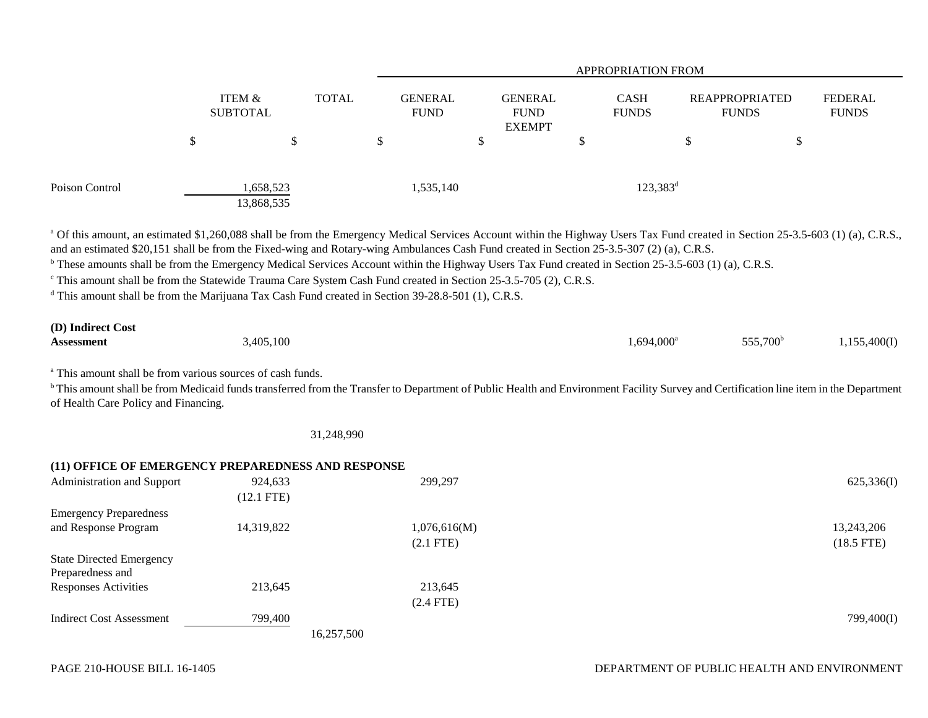|                |   |                           |              | <b>APPROPRIATION FROM</b>     |   |                                                |   |                             |                                |   |                         |
|----------------|---|---------------------------|--------------|-------------------------------|---|------------------------------------------------|---|-----------------------------|--------------------------------|---|-------------------------|
|                |   | ITEM &<br><b>SUBTOTAL</b> | <b>TOTAL</b> | <b>GENERAL</b><br><b>FUND</b> |   | <b>GENERAL</b><br><b>FUND</b><br><b>EXEMPT</b> |   | <b>CASH</b><br><b>FUNDS</b> | REAPPROPRIATED<br><b>FUNDS</b> |   | FEDERAL<br><b>FUNDS</b> |
|                | D | \$                        |              | \$                            | D |                                                | Φ |                             | \$                             | Φ |                         |
| Poison Control |   | 1,658,523<br>13,868,535   |              | 1,535,140                     |   |                                                |   | $123,383^d$                 |                                |   |                         |

<sup>a</sup> Of this amount, an estimated \$1,260,088 shall be from the Emergency Medical Services Account within the Highway Users Tax Fund created in Section 25-3.5-603 (1) (a), C.R.S., and an estimated \$20,151 shall be from the Fixed-wing and Rotary-wing Ambulances Cash Fund created in Section 25-3.5-307 (2) (a), C.R.S.

<sup>b</sup> These amounts shall be from the Emergency Medical Services Account within the Highway Users Tax Fund created in Section 25-3.5-603 (1) (a), C.R.S.

c This amount shall be from the Statewide Trauma Care System Cash Fund created in Section 25-3.5-705 (2), C.R.S.

<sup>d</sup> This amount shall be from the Marijuana Tax Cash Fund created in Section 39-28.8-501 (1), C.R.S.

| (D) Indirect Cost |           |               |                      |              |
|-------------------|-----------|---------------|----------------------|--------------|
| <b>Assessment</b> | 3,405,100 | $1,694,000^a$ | 555,700 <sup>b</sup> | 1,155,400(I) |

<sup>a</sup> This amount shall be from various sources of cash funds.

<sup>b</sup> This amount shall be from Medicaid funds transferred from the Transfer to Department of Public Health and Environment Facility Survey and Certification line item in the Department of Health Care Policy and Financing.

31,248,990

|                                 | (11) OFFICE OF EMERGENCY PREPAREDNESS AND RESPONSE |              |              |
|---------------------------------|----------------------------------------------------|--------------|--------------|
| Administration and Support      | 924,633                                            | 299,297      | 625,336(I)   |
|                                 | $(12.1$ FTE)                                       |              |              |
| <b>Emergency Preparedness</b>   |                                                    |              |              |
| and Response Program            | 14,319,822                                         | 1,076,616(M) | 13,243,206   |
|                                 |                                                    | $(2.1$ FTE)  | $(18.5$ FTE) |
| <b>State Directed Emergency</b> |                                                    |              |              |
| Preparedness and                |                                                    |              |              |
| <b>Responses Activities</b>     | 213,645                                            | 213,645      |              |
|                                 |                                                    | $(2.4$ FTE)  |              |
| <b>Indirect Cost Assessment</b> | 799,400                                            |              | 799,400(I)   |
|                                 | 16,257,500                                         |              |              |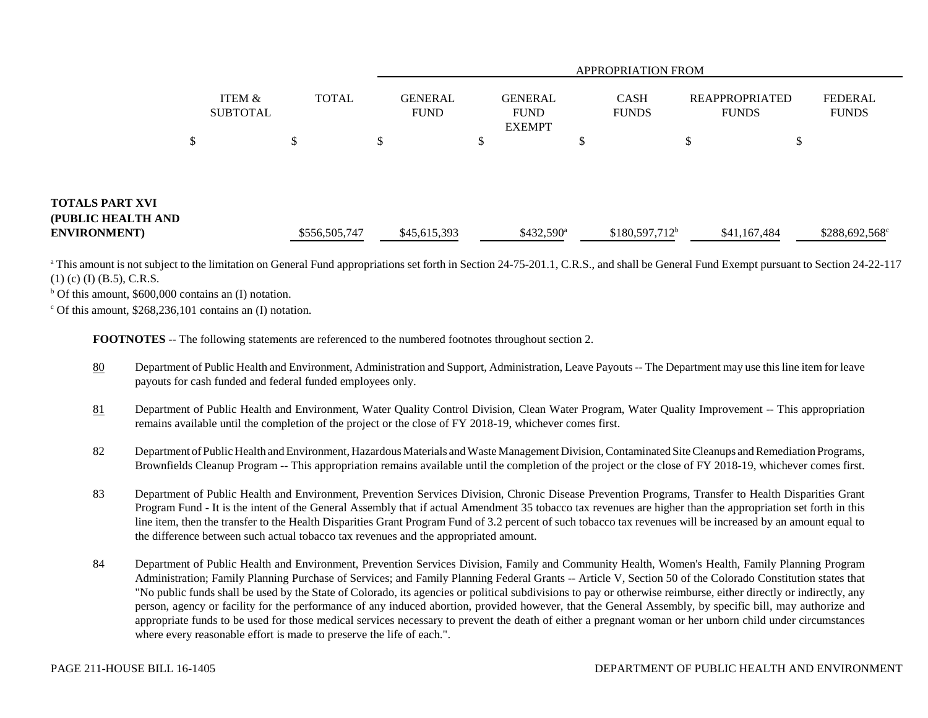|                                                              |                    |               |                               |                                                | <b>APPROPRIATION FROM</b>   |                                       |                         |
|--------------------------------------------------------------|--------------------|---------------|-------------------------------|------------------------------------------------|-----------------------------|---------------------------------------|-------------------------|
|                                                              | ITEM &<br>SUBTOTAL | <b>TOTAL</b>  | <b>GENERAL</b><br><b>FUND</b> | <b>GENERAL</b><br><b>FUND</b><br><b>EXEMPT</b> | <b>CASH</b><br><b>FUNDS</b> | <b>REAPPROPRIATED</b><br><b>FUNDS</b> | FEDERAL<br><b>FUNDS</b> |
|                                                              |                    | ъ             | \$                            |                                                |                             | \$<br>\$                              |                         |
| TOTALS PART XVI<br>(PUBLIC HEALTH AND<br><b>ENVIRONMENT)</b> |                    | \$556,505,747 | \$45,615,393                  | $$432,590^{\circ}$                             | $$180,597,712^b$            | \$41,167,484                          | $$288,692,568^{\circ}$  |

<sup>a</sup> This amount is not subject to the limitation on General Fund appropriations set forth in Section 24-75-201.1, C.R.S., and shall be General Fund Exempt pursuant to Section 24-22-117 (1) (c) (I) (B.5), C.R.S.

 $b$  Of this amount, \$600,000 contains an (I) notation.

 $\degree$  Of this amount, \$268,236,101 contains an (I) notation.

**FOOTNOTES** -- The following statements are referenced to the numbered footnotes throughout section 2.

- 80 Department of Public Health and Environment, Administration and Support, Administration, Leave Payouts -- The Department may use this line item for leave payouts for cash funded and federal funded employees only.
- 81 Department of Public Health and Environment, Water Quality Control Division, Clean Water Program, Water Quality Improvement -- This appropriation remains available until the completion of the project or the close of FY 2018-19, whichever comes first.
- 82 Department of Public Health and Environment, Hazardous Materials and Waste Management Division, Contaminated Site Cleanups and Remediation Programs, Brownfields Cleanup Program -- This appropriation remains available until the completion of the project or the close of FY 2018-19, whichever comes first.
- 83 Department of Public Health and Environment, Prevention Services Division, Chronic Disease Prevention Programs, Transfer to Health Disparities Grant Program Fund - It is the intent of the General Assembly that if actual Amendment 35 tobacco tax revenues are higher than the appropriation set forth in this line item, then the transfer to the Health Disparities Grant Program Fund of 3.2 percent of such tobacco tax revenues will be increased by an amount equal to the difference between such actual tobacco tax revenues and the appropriated amount.
- 84 Department of Public Health and Environment, Prevention Services Division, Family and Community Health, Women's Health, Family Planning Program Administration; Family Planning Purchase of Services; and Family Planning Federal Grants -- Article V, Section 50 of the Colorado Constitution states that "No public funds shall be used by the State of Colorado, its agencies or political subdivisions to pay or otherwise reimburse, either directly or indirectly, any person, agency or facility for the performance of any induced abortion, provided however, that the General Assembly, by specific bill, may authorize and appropriate funds to be used for those medical services necessary to prevent the death of either a pregnant woman or her unborn child under circumstances where every reasonable effort is made to preserve the life of each.".